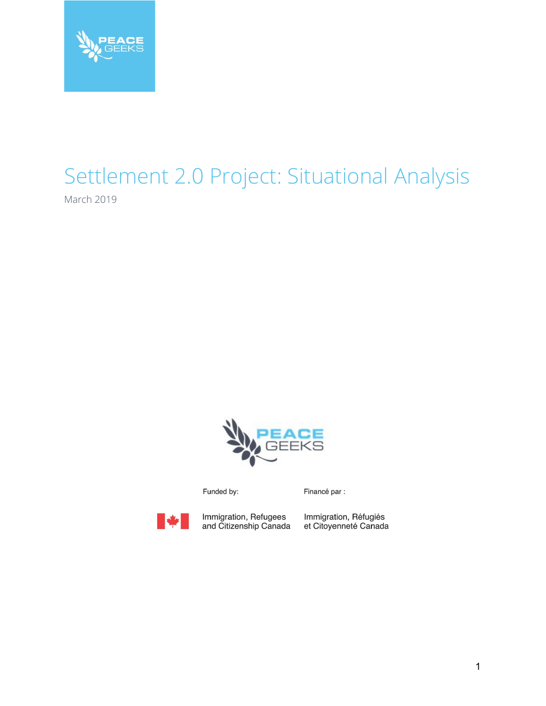

# Settlement 2.0 Project: Situational Analysis

March 2019



Funded by:

Financé par :



Immigration, Refugees<br>and Citizenship Canada

Immigration, Réfugiés et Citoyenneté Canada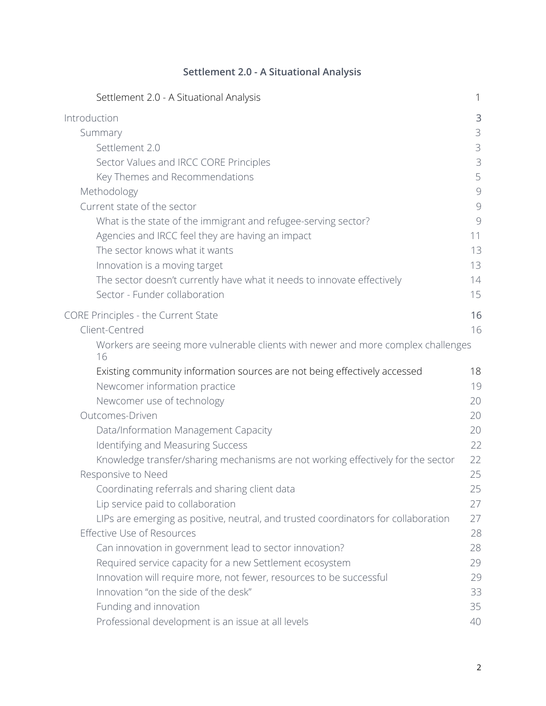### **Settlement 2.0 - A Situational Analysis**

<span id="page-1-0"></span>

| Settlement 2.0 - A Situational Analysis                                                 | 1              |
|-----------------------------------------------------------------------------------------|----------------|
| Introduction                                                                            | 3              |
| Summary                                                                                 | $\mathfrak{Z}$ |
| Settlement 2.0                                                                          | 3              |
| Sector Values and IRCC CORE Principles                                                  | 3              |
| Key Themes and Recommendations                                                          | 5              |
| Methodology                                                                             | 9              |
| Current state of the sector                                                             | 9              |
| What is the state of the immigrant and refugee-serving sector?                          | 9              |
| Agencies and IRCC feel they are having an impact                                        | 11             |
| The sector knows what it wants                                                          | 13             |
| Innovation is a moving target                                                           | 13             |
| The sector doesn't currently have what it needs to innovate effectively                 | 14             |
| Sector - Funder collaboration                                                           | 15             |
| CORE Principles - the Current State                                                     | 16             |
| Client-Centred                                                                          | 16             |
| Workers are seeing more vulnerable clients with newer and more complex challenges<br>16 |                |
| Existing community information sources are not being effectively accessed               | 18             |
| Newcomer information practice                                                           | 19             |
| Newcomer use of technology                                                              | 20             |
| Outcomes-Driven                                                                         | 20             |
| Data/Information Management Capacity                                                    | 20             |
| Identifying and Measuring Success                                                       | 22             |
| Knowledge transfer/sharing mechanisms are not working effectively for the sector        | 22             |
| Responsive to Need                                                                      | 25             |
| Coordinating referrals and sharing client data                                          | 25             |
| Lip service paid to collaboration                                                       | 27             |
| LIPs are emerging as positive, neutral, and trusted coordinators for collaboration      | 27             |
| Effective Use of Resources                                                              | 28             |
| Can innovation in government lead to sector innovation?                                 | 28             |
| Required service capacity for a new Settlement ecosystem                                | 29             |
| Innovation will require more, not fewer, resources to be successful                     | 29             |
| Innovation "on the side of the desk"                                                    | 33             |
| Funding and innovation                                                                  | 35             |
| Professional development is an issue at all levels                                      | 40             |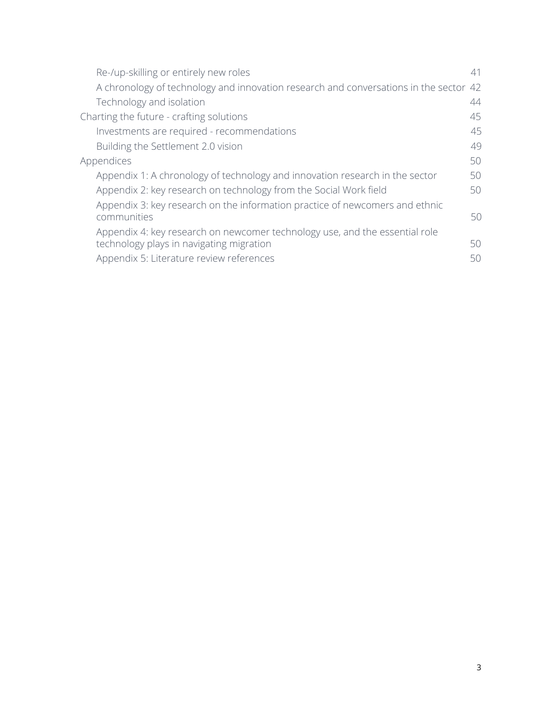| Re-/up-skilling or entirely new roles                                                                                   | 41 |
|-------------------------------------------------------------------------------------------------------------------------|----|
| A chronology of technology and innovation research and conversations in the sector                                      | 42 |
| Technology and isolation                                                                                                | 44 |
| Charting the future - crafting solutions                                                                                | 45 |
| Investments are required - recommendations                                                                              | 45 |
| Building the Settlement 2.0 vision                                                                                      | 49 |
| Appendices                                                                                                              | 50 |
| Appendix 1: A chronology of technology and innovation research in the sector                                            | 50 |
| Appendix 2: key research on technology from the Social Work field                                                       | 50 |
| Appendix 3: key research on the information practice of newcomers and ethnic                                            |    |
| communities                                                                                                             | 50 |
| Appendix 4: key research on newcomer technology use, and the essential role<br>technology plays in navigating migration | 50 |
| Appendix 5: Literature review references                                                                                | 50 |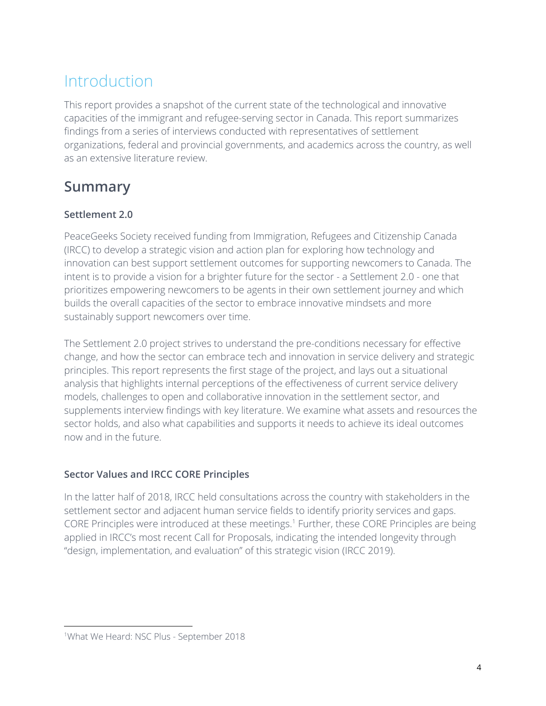# <span id="page-3-0"></span>Introduction

This report provides a snapshot of the current state of the technological and innovative capacities of the immigrant and refugee-serving sector in Canada. This report summarizes findings from a series of interviews conducted with representatives of settlement organizations, federal and provincial governments, and academics across the country, as well as an extensive literature review.

# <span id="page-3-1"></span>**Summary**

### <span id="page-3-2"></span>**Settlement 2.0**

PeaceGeeks Society received funding from Immigration, Refugees and Citizenship Canada (IRCC) to develop a strategic vision and action plan for exploring how technology and innovation can best support settlement outcomes for supporting newcomers to Canada. The intent is to provide a vision for a brighter future for the sector - a Settlement 2.0 - one that prioritizes empowering newcomers to be agents in their own settlement journey and which builds the overall capacities of the sector to embrace innovative mindsets and more sustainably support newcomers over time.

The Settlement 2.0 project strives to understand the pre-conditions necessary for effective change, and how the sector can embrace tech and innovation in service delivery and strategic principles. This report represents the first stage of the project, and lays out a situational analysis that highlights internal perceptions of the effectiveness of current service delivery models, challenges to open and collaborative innovation in the settlement sector, and supplements interview findings with key literature. We examine what assets and resources the sector holds, and also what capabilities and supports it needs to achieve its ideal outcomes now and in the future.

### <span id="page-3-3"></span>**Sector Values and IRCC CORE Principles**

In the latter half of 2018, IRCC held consultations across the country with stakeholders in the settlement sector and adjacent human service fields to identify priority services and gaps. CORE Principles were introduced at these meetings.<sup>1</sup> Further, these CORE Principles are being applied in IRCC's most recent Call for Proposals, indicating the intended longevity through "design, implementation, and evaluation" of this strategic vision (IRCC 2019).

<sup>1</sup>What We Heard: NSC Plus - [September](http://aaisa.ca/docs/AASIASummit2018/D1/D1E7%20-What%20we%20heard%20at%20NSC%20Plus%20Presentation%20-%20EN.pptx) 2018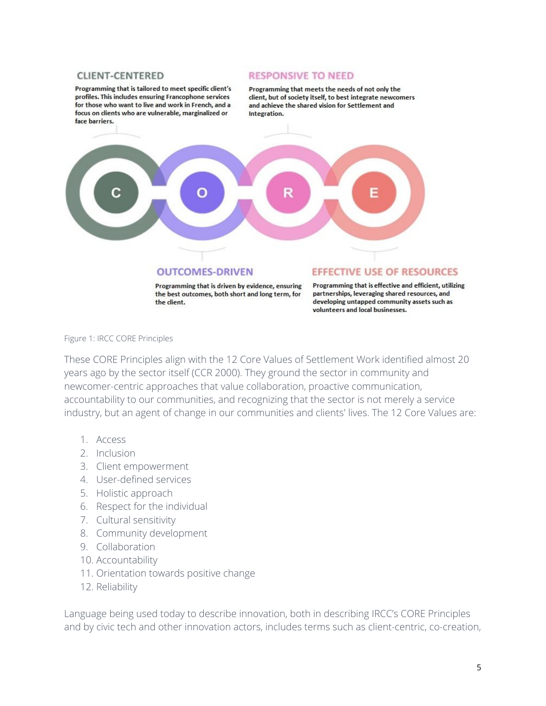#### **CLIENT-CENTERED**

Programming that is tailored to meet specific client's profiles. This includes ensuring Francophone services for those who want to live and work in French, and a focus on clients who are vulnerable, marginalized or face harriers.

#### **RESPONSIVE TO NEED**

Programming that meets the needs of not only the client, but of society itself, to best integrate newcomers and achieve the shared vision for Settlement and Integration.



#### Figure 1: IRCC CORE Principles

These CORE Principles align with the 12 Core Values of Settlement Work identified almost 20 years ago by the sector itself (CCR 2000). They ground the sector in community and newcomer-centric approaches that value collaboration, proactive communication, accountability to our communities, and recognizing that the sector is not merely a service industry, but an agent of change in our communities and clients' lives. The 12 Core Values are:

- 1. Access
- 2. Inclusion
- 3. Client empowerment
- 4. User-defined services
- 5. Holistic approach
- 6. Respect for the individual
- 7. Cultural sensitivity
- 8. Community development
- 9. Collaboration
- 10. Accountability
- 11. Orientation towards positive change
- 12. Reliability

Language being used today to describe innovation, both in describing IRCC's CORE Principles and by civic tech and other innovation actors, includes terms such as client-centric, co-creation,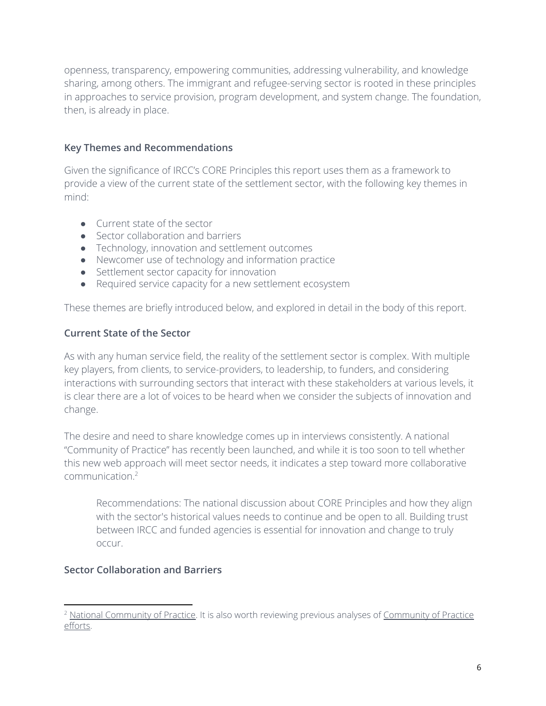openness, transparency, empowering communities, addressing vulnerability, and knowledge sharing, among others. The immigrant and refugee-serving sector is rooted in these principles in approaches to service provision, program development, and system change. The foundation, then, is already in place.

### <span id="page-5-0"></span>**Key Themes and Recommendations**

Given the significance of IRCC's CORE Principles this report uses them as a framework to provide a view of the current state of the settlement sector, with the following key themes in mind:

- Current state of the sector
- Sector collaboration and barriers
- Technology, innovation and settlement outcomes
- Newcomer use of technology and information practice
- Settlement sector capacity for innovation
- Required service capacity for a new settlement ecosystem

These themes are briefly introduced below, and explored in detail in the body of this report.

### **Current State of the Sector**

As with any human service field, the reality of the settlement sector is complex. With multiple key players, from clients, to service-providers, to leadership, to funders, and considering interactions with surrounding sectors that interact with these stakeholders at various levels, it is clear there are a lot of voices to be heard when we consider the subjects of innovation and change.

The desire and need to share knowledge comes up in interviews consistently. A national "Community of Practice" has recently been launched, and while it is too soon to tell whether this new web approach will meet sector needs, it indicates a step toward more collaborative communication. 2

Recommendations: The national discussion about CORE Principles and how they align with the sector's historical values needs to continue and be open to all. Building trust between IRCC and funded agencies is essential for innovation and change to truly occur.

### **Sector Collaboration and Barriers**

<sup>&</sup>lt;sup>2</sup> National [Community](https://www.youtube.com/watch?v=8K9HySRbTqg&t=) of Practice. It is also worth reviewing previous analyses of Community of Practice [efforts](https://www.youtube.com/watch?v=8K9HySRbTqg&t=).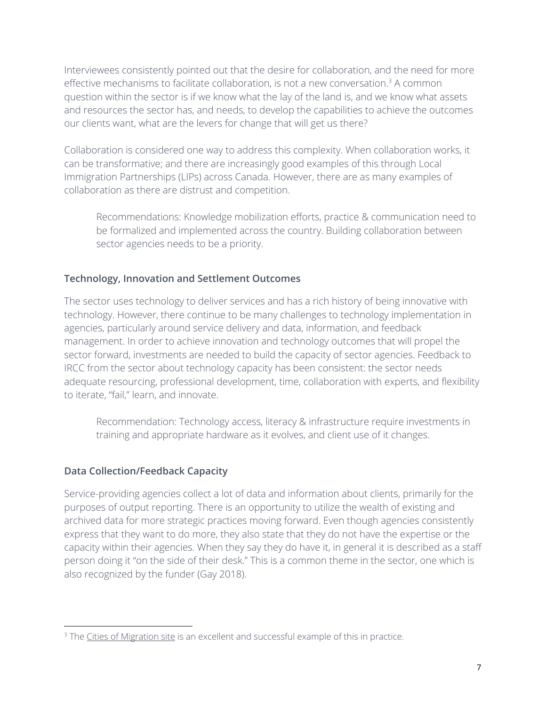Interviewees consistently pointed out that the desire for collaboration, and the need for more effective mechanisms to facilitate collaboration, is not a new conversation.<sup>3</sup> A common question within the sector is if we know what the lay of the land is, and we know what assets and resources the sector has, and needs, to develop the capabilities to achieve the outcomes our clients want, what are the levers for change that will get us there?

Collaboration is considered one way to address this complexity. When collaboration works, it can be transformative; and there are increasingly good examples of this through Local Immigration Partnerships (LIPs) across Canada. However, there are as many examples of collaboration as there are distrust and competition.

Recommendations: Knowledge mobilization efforts, practice & communication need to be formalized and implemented across the country. Building collaboration between sector agencies needs to be a priority.

### **Technology, Innovation and Settlement Outcomes**

The sector uses technology to deliver services and has a rich history of being innovative with technology. However, there continue to be many challenges to technology implementation in agencies, particularly around service delivery and data, information, and feedback management. In order to achieve innovation and technology outcomes that will propel the sector forward, investments are needed to build the capacity of sector agencies. Feedback to IRCC from the sector about technology capacity has been consistent: the sector needs adequate resourcing, professional development, time, collaboration with experts, and flexibility to iterate, "fail," learn, and innovate.

Recommendation: Technology access, literacy & infrastructure require investments in training and appropriate hardware as it evolves, and client use of it changes.

### **Data Collection/Feedback Capacity**

Service-providing agencies collect a lot of data and information about clients, primarily for the purposes of output reporting. There is an opportunity to utilize the wealth of existing and archived data for more strategic practices moving forward. Even though agencies consistently express that they want to do more, they also state that they do not have the expertise or the capacity within their agencies. When they say they do have it, in general it is described as a staff person doing it "on the side of their desk." This is a common theme in the sector, one which is also recognized by the funder (Gay 2018).

<sup>&</sup>lt;sup>3</sup> The Cities of [Migration](http://www.citiesofmigration.ca/) site is an excellent and successful example of this in practice.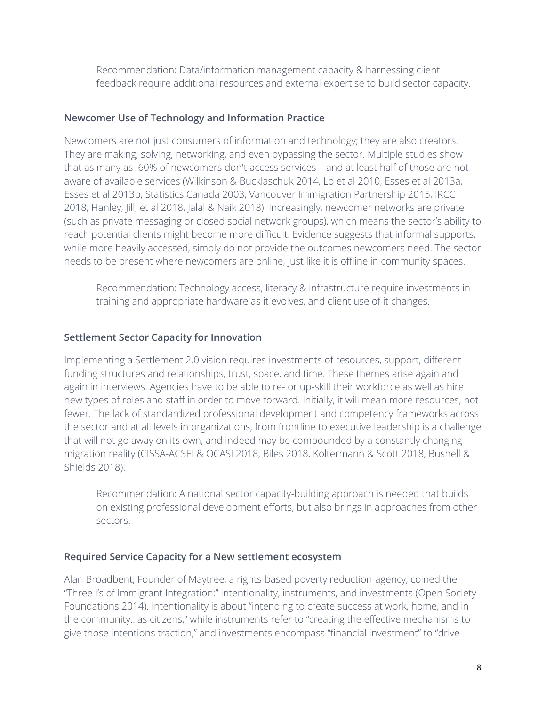Recommendation: Data/information management capacity & harnessing client feedback require additional resources and external expertise to build sector capacity.

### **Newcomer Use of Technology and Information Practice**

Newcomers are not just consumers of information and technology; they are also creators. They are making, solving, networking, and even bypassing the sector. Multiple studies show that as many as 60% of newcomers don't access services – and at least half of those are not aware of available services (Wilkinson & Bucklaschuk 2014, Lo et al 2010, Esses et al 2013a, Esses et al 2013b, Statistics Canada 2003, Vancouver Immigration Partnership 2015, IRCC 2018, Hanley, Jill, et al 2018, Jalal & Naik 2018). Increasingly, newcomer networks are private (such as private messaging or closed social network groups), which means the sector's ability to reach potential clients might become more difficult. Evidence suggests that informal supports, while more heavily accessed, simply do not provide the outcomes newcomers need. The sector needs to be present where newcomers are online, just like it is offline in community spaces.

Recommendation: Technology access, literacy & infrastructure require investments in training and appropriate hardware as it evolves, and client use of it changes.

### **Settlement Sector Capacity for Innovation**

Implementing a Settlement 2.0 vision requires investments of resources, support, different funding structures and relationships, trust, space, and time. These themes arise again and again in interviews. Agencies have to be able to re- or up-skill their workforce as well as hire new types of roles and staff in order to move forward. Initially, it will mean more resources, not fewer. The lack of standardized professional development and competency frameworks across the sector and at all levels in organizations, from frontline to executive leadership is a challenge that will not go away on its own, and indeed may be compounded by a constantly changing migration reality (CISSA-ACSEI & OCASI 2018, Biles 2018, Koltermann & Scott 2018, Bushell & Shields 2018).

Recommendation: A national sector capacity-building approach is needed that builds on existing professional development efforts, but also brings in approaches from other sectors.

### **Required Service Capacity for a New settlement ecosystem**

Alan Broadbent, Founder of Maytree, a rights-based poverty reduction-agency, coined the "Three I's of Immigrant Integration:" intentionality, instruments, and investments (Open Society Foundations 2014). Intentionality is about "intending to create success at work, home, and in the community...as citizens," while instruments refer to "creating the effective mechanisms to give those intentions traction," and investments encompass "financial investment" to "drive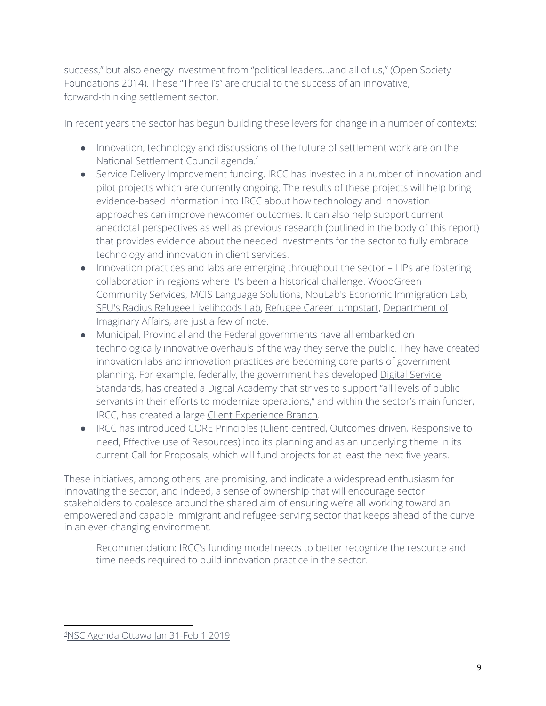success," but also energy investment from "political leaders...and all of us," (Open Society Foundations 2014). These "Three I's" are crucial to the success of an innovative, forward-thinking settlement sector.

In recent years the sector has begun building these levers for change in a number of contexts:

- Innovation, technology and discussions of the future of settlement work are on the National Settlement Council agenda. 4
- Service Delivery Improvement funding. IRCC has invested in a number of innovation and pilot projects which are currently ongoing. The results of these projects will help bring evidence-based information into IRCC about how technology and innovation approaches can improve newcomer outcomes. It can also help support current anecdotal perspectives as well as previous research (outlined in the body of this report) that provides evidence about the needed investments for the sector to fully embrace technology and innovation in client services.
- Innovation practices and labs are emerging throughout the sector LIPs are fostering collaboration in regions where it's been a historical challenge. [WoodGreen](http://www.woodgreenannualreport.org/2017-18/stories/agent-of-change/) [Community](http://www.woodgreenannualreport.org/2017-18/stories/agent-of-change/) Services[,](https://www.mcislanguages.com/social-impact/) MCIS [Language](https://www.mcislanguages.com/social-impact/) Solutions, [N](https://noulab.org/immigration)ouLab's Economic [Immigration](https://noulab.org/immigration) Lab[,](https://radiussfu.com/programs/labs-ventures/refugee-newcomer-livelihood/) SFU's Radius Refugee [Livelihoods](https://radiussfu.com/programs/labs-ventures/refugee-newcomer-livelihood/) Lab, [R](http://www.rcjp.ca/)efugee Career [Jumpstart](http://www.rcjp.ca/), [Department](https://dia.space/projects/the-stories-of-us/) of [Imaginary](https://dia.space/projects/the-stories-of-us/) Affairs, are just a few of note.
- Municipal, Provincial and the Federal governments have all embarked on technologically innovative overhauls of the way they serve the public. They have created innovation labs and innovation practices are becoming core parts of government planning. For example, federally, the government has developed Digital [Service](https://www.canada.ca/en/government/publicservice/modernizing/government-canada-digital-standards.html) [Standards](https://www.canada.ca/en/government/publicservice/modernizing/government-canada-digital-standards.html), has created a Digital [Academy](https://www.canada.ca/en/treasury-board-secretariat/news/2018/10/government-of-canada-launches-digital-academy.html) that strives to support "all levels of public servants in their efforts to modernize operations," and within the sector's main funder, IRCC, has created a large Client [Experience](http://www.goc411.ca/en/Employees/IndexByUnit/c=CA,o=GC,ou=IRCC-IRCC,ou=NHQ-AC,ou=DMO-DMO,ou=AOB-AOB,ou=CLI-DIR) Branch.
- IRCC has introduced CORE Principles (Client-centred, Outcomes-driven, Responsive to need, Effective use of Resources) into its planning and as an underlying theme in its current Call for Proposals, which will fund projects for at least the next five years.

These initiatives, among others, are promising, and indicate a widespread enthusiasm for innovating the sector, and indeed, a sense of ownership that will encourage sector stakeholders to coalesce around the shared aim of ensuring we're all working toward an empowered and capable immigrant and refugee-serving sector that keeps ahead of the curve in an ever-changing environment.

Recommendation: IRCC's funding model needs to better recognize the resource and time needs required to build innovation practice in the sector.

<sup>4</sup>[NSC Agenda Ottawa Jan 31-Feb 1 2019](https://www.dropbox.com/sh/07b4em9j34rxv4q/AAAsVWUKDUfSnnpzgwhF0ZrFa?dl=0&preview=1+-+NSC+Agenda+Ottawa+Jan+31-Feb+1+2019+-+Updated+Jan.+30.docx)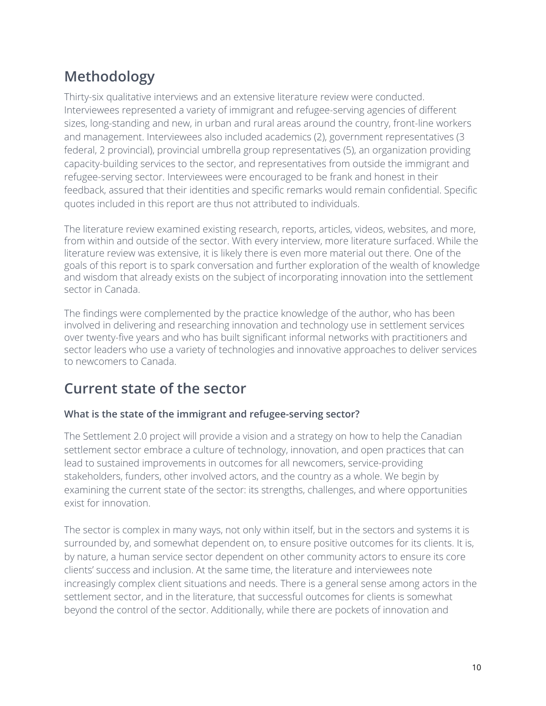# <span id="page-9-0"></span>**Methodology**

Thirty-six qualitative interviews and an extensive literature review were conducted. Interviewees represented a variety of immigrant and refugee-serving agencies of different sizes, long-standing and new, in urban and rural areas around the country, front-line workers and management. Interviewees also included academics (2), government representatives (3 federal, 2 provincial), provincial umbrella group representatives (5), an organization providing capacity-building services to the sector, and representatives from outside the immigrant and refugee-serving sector. Interviewees were encouraged to be frank and honest in their feedback, assured that their identities and specific remarks would remain confidential. Specific quotes included in this report are thus not attributed to individuals.

The literature review examined existing research, reports, articles, videos, websites, and more, from within and outside of the sector. With every interview, more literature surfaced. While the literature review was extensive, it is likely there is even more material out there. One of the goals of this report is to spark conversation and further exploration of the wealth of knowledge and wisdom that already exists on the subject of incorporating innovation into the settlement sector in Canada.

The findings were complemented by the practice knowledge of the author, who has been involved in delivering and researching innovation and technology use in settlement services over twenty-five years and who has built significant informal networks with practitioners and sector leaders who use a variety of technologies and innovative approaches to deliver services to newcomers to Canada.

### <span id="page-9-1"></span>**Current state of the sector**

### <span id="page-9-2"></span>**What is the state of the immigrant and refugee-serving sector?**

The Settlement 2.0 project will provide a vision and a strategy on how to help the Canadian settlement sector embrace a culture of technology, innovation, and open practices that can lead to sustained improvements in outcomes for all newcomers, service-providing stakeholders, funders, other involved actors, and the country as a whole. We begin by examining the current state of the sector: its strengths, challenges, and where opportunities exist for innovation.

The sector is complex in many ways, not only within itself, but in the sectors and systems it is surrounded by, and somewhat dependent on, to ensure positive outcomes for its clients. It is, by nature, a human service sector dependent on other community actors to ensure its core clients' success and inclusion. At the same time, the literature and interviewees note increasingly complex client situations and needs. There is a general sense among actors in the settlement sector, and in the literature, that successful outcomes for clients is somewhat beyond the control of the sector. Additionally, while there are pockets of innovation and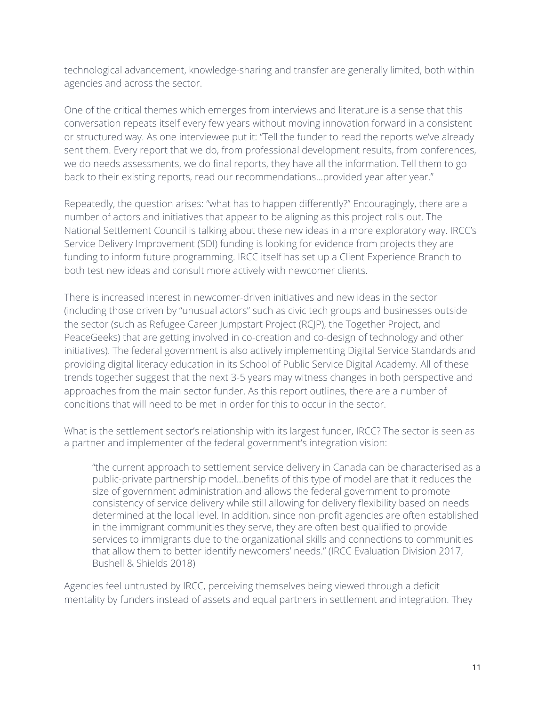technological advancement, knowledge-sharing and transfer are generally limited, both within agencies and across the sector.

One of the critical themes which emerges from interviews and literature is a sense that this conversation repeats itself every few years without moving innovation forward in a consistent or structured way. As one interviewee put it: "Tell the funder to read the reports we've already sent them. Every report that we do, from professional development results, from conferences, we do needs assessments, we do final reports, they have all the information. Tell them to go back to their existing reports, read our recommendations...provided year after year."

Repeatedly, the question arises: "what has to happen differently?" Encouragingly, there are a number of actors and initiatives that appear to be aligning as this project rolls out. The National Settlement Council is talking about these new ideas in a more exploratory way. IRCC's Service Delivery Improvement (SDI) funding is looking for evidence from projects they are funding to inform future programming. IRCC itself has set up a Client Experience Branch to both test new ideas and consult more actively with newcomer clients.

There is increased interest in newcomer-driven initiatives and new ideas in the sector (including those driven by "unusual actors" such as civic tech groups and businesses outside the sector (such as Refugee Career Jumpstart Project (RCJP), the Together Project, and PeaceGeeks) that are getting involved in co-creation and co-design of technology and other initiatives). The federal government is also actively implementing Digital Service Standards and providing digital literacy education in its School of Public Service Digital Academy. All of these trends together suggest that the next 3-5 years may witness changes in both perspective and approaches from the main sector funder. As this report outlines, there are a number of conditions that will need to be met in order for this to occur in the sector.

What is the settlement sector's relationship with its largest funder, IRCC? The sector is seen as a partner and implementer of the federal government's integration vision:

"the current approach to settlement service delivery in Canada can be characterised as a public-private partnership model...benefits of this type of model are that it reduces the size of government administration and allows the federal government to promote consistency of service delivery while still allowing for delivery flexibility based on needs determined at the local level. In addition, since non-profit agencies are often established in the immigrant communities they serve, they are often best qualified to provide services to immigrants due to the organizational skills and connections to communities that allow them to better identify newcomers' needs." (IRCC Evaluation Division 2017, Bushell & Shields 2018)

Agencies feel untrusted by IRCC, perceiving themselves being viewed through a deficit mentality by funders instead of assets and equal partners in settlement and integration. They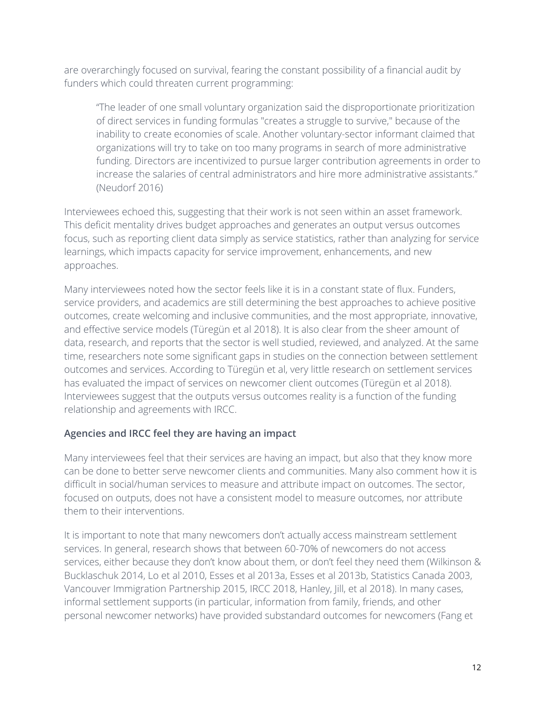are overarchingly focused on survival, fearing the constant possibility of a financial audit by funders which could threaten current programming:

"The leader of one small voluntary organization said the disproportionate prioritization of direct services in funding formulas "creates a struggle to survive," because of the inability to create economies of scale. Another voluntary-sector informant claimed that organizations will try to take on too many programs in search of more administrative funding. Directors are incentivized to pursue larger contribution agreements in order to increase the salaries of central administrators and hire more administrative assistants." (Neudorf 2016)

Interviewees echoed this, suggesting that their work is not seen within an asset framework. This deficit mentality drives budget approaches and generates an output versus outcomes focus, such as reporting client data simply as service statistics, rather than analyzing for service learnings, which impacts capacity for service improvement, enhancements, and new approaches.

Many interviewees noted how the sector feels like it is in a constant state of flux. Funders, service providers, and academics are still determining the best approaches to achieve positive outcomes, create welcoming and inclusive communities, and the most appropriate, innovative, and effective service models (Türegün et al 2018). It is also clear from the sheer amount of data, research, and reports that the sector is well studied, reviewed, and analyzed. At the same time, researchers note some significant gaps in studies on the connection between settlement outcomes and services. According to Türegün et al, very little research on settlement services has evaluated the impact of services on newcomer client outcomes (Türegün et al 2018). Interviewees suggest that the outputs versus outcomes reality is a function of the funding relationship and agreements with IRCC.

### <span id="page-11-0"></span>**Agencies and IRCC feel they are having an impact**

Many interviewees feel that their services are having an impact, but also that they know more can be done to better serve newcomer clients and communities. Many also comment how it is difficult in social/human services to measure and attribute impact on outcomes. The sector, focused on outputs, does not have a consistent model to measure outcomes, nor attribute them to their interventions.

It is important to note that many newcomers don't actually access mainstream settlement services. In general, research shows that between 60-70% of newcomers do not access services, either because they don't know about them, or don't feel they need them (Wilkinson & Bucklaschuk 2014, Lo et al 2010, Esses et al 2013a, Esses et al 2013b, Statistics Canada 2003, Vancouver Immigration Partnership 2015, IRCC 2018, Hanley, Jill, et al 2018). In many cases, informal settlement supports (in particular, information from family, friends, and other personal newcomer networks) have provided substandard outcomes for newcomers (Fang et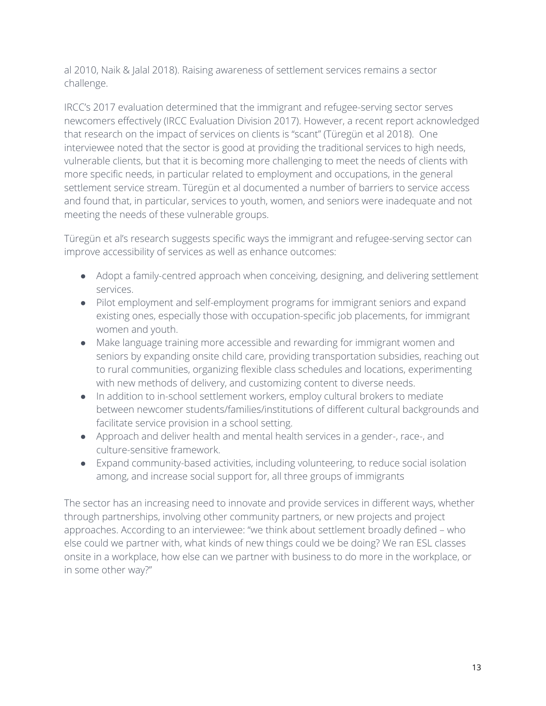al 2010, Naik & Jalal 2018). Raising awareness of settlement services remains a sector challenge.

IRCC's 2017 evaluation determined that the immigrant and refugee-serving sector serves newcomers effectively (IRCC Evaluation Division 2017). However, a recent report acknowledged that research on the impact of services on clients is "scant" (Türegün et al 2018). One interviewee noted that the sector is good at providing the traditional services to high needs, vulnerable clients, but that it is becoming more challenging to meet the needs of clients with more specific needs, in particular related to employment and occupations, in the general settlement service stream. Türegün et al documented a number of barriers to service access and found that, in particular, services to youth, women, and seniors were inadequate and not meeting the needs of these vulnerable groups.

Türegün et al's research suggests specific ways the immigrant and refugee-serving sector can improve accessibility of services as well as enhance outcomes:

- Adopt a family-centred approach when conceiving, designing, and delivering settlement services.
- Pilot employment and self-employment programs for immigrant seniors and expand existing ones, especially those with occupation-specific job placements, for immigrant women and youth.
- Make language training more accessible and rewarding for immigrant women and seniors by expanding onsite child care, providing transportation subsidies, reaching out to rural communities, organizing flexible class schedules and locations, experimenting with new methods of delivery, and customizing content to diverse needs.
- In addition to in-school settlement workers, employ cultural brokers to mediate between newcomer students/families/institutions of different cultural backgrounds and facilitate service provision in a school setting.
- Approach and deliver health and mental health services in a gender-, race-, and culture-sensitive framework.
- Expand community-based activities, including volunteering, to reduce social isolation among, and increase social support for, all three groups of immigrants

The sector has an increasing need to innovate and provide services in different ways, whether through partnerships, involving other community partners, or new projects and project approaches. According to an interviewee: "we think about settlement broadly defined – who else could we partner with, what kinds of new things could we be doing? We ran ESL classes onsite in a workplace, how else can we partner with business to do more in the workplace, or in some other way?"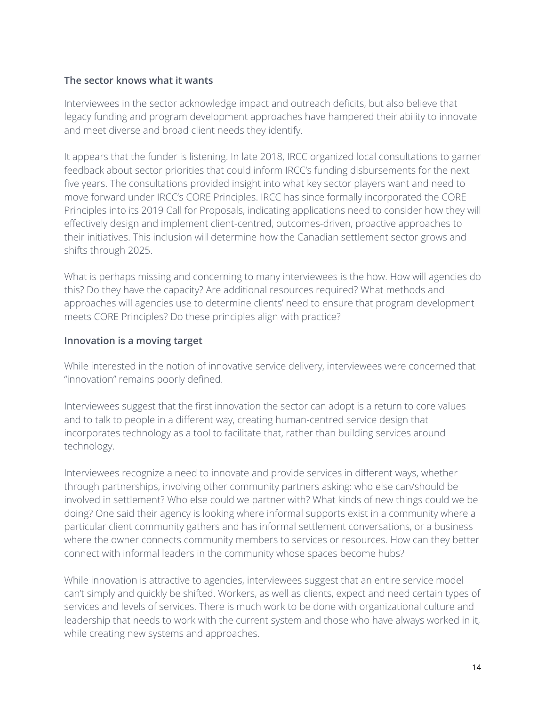### <span id="page-13-0"></span>**The sector knows what it wants**

Interviewees in the sector acknowledge impact and outreach deficits, but also believe that legacy funding and program development approaches have hampered their ability to innovate and meet diverse and broad client needs they identify.

It appears that the funder is listening. In late 2018, IRCC organized local consultations to garner feedback about sector priorities that could inform IRCC's funding disbursements for the next five years. The consultations provided insight into what key sector players want and need to move forward under IRCC's CORE Principles. IRCC has since formally incorporated the CORE Principles into its 2019 Call for Proposals, indicating applications need to consider how they will effectively design and implement client-centred, outcomes-driven, proactive approaches to their initiatives. This inclusion will determine how the Canadian settlement sector grows and shifts through 2025.

What is perhaps missing and concerning to many interviewees is the how. How will agencies do this? Do they have the capacity? Are additional resources required? What methods and approaches will agencies use to determine clients' need to ensure that program development meets CORE Principles? Do these principles align with practice?

### <span id="page-13-1"></span>**Innovation is a moving target**

While interested in the notion of innovative service delivery, interviewees were concerned that "innovation" remains poorly defined.

Interviewees suggest that the first innovation the sector can adopt is a return to core values and to talk to people in a different way, creating human-centred service design that incorporates technology as a tool to facilitate that, rather than building services around technology.

Interviewees recognize a need to innovate and provide services in different ways, whether through partnerships, involving other community partners asking: who else can/should be involved in settlement? Who else could we partner with? What kinds of new things could we be doing? One said their agency is looking where informal supports exist in a community where a particular client community gathers and has informal settlement conversations, or a business where the owner connects community members to services or resources. How can they better connect with informal leaders in the community whose spaces become hubs?

While innovation is attractive to agencies, interviewees suggest that an entire service model can't simply and quickly be shifted. Workers, as well as clients, expect and need certain types of services and levels of services. There is much work to be done with organizational culture and leadership that needs to work with the current system and those who have always worked in it, while creating new systems and approaches.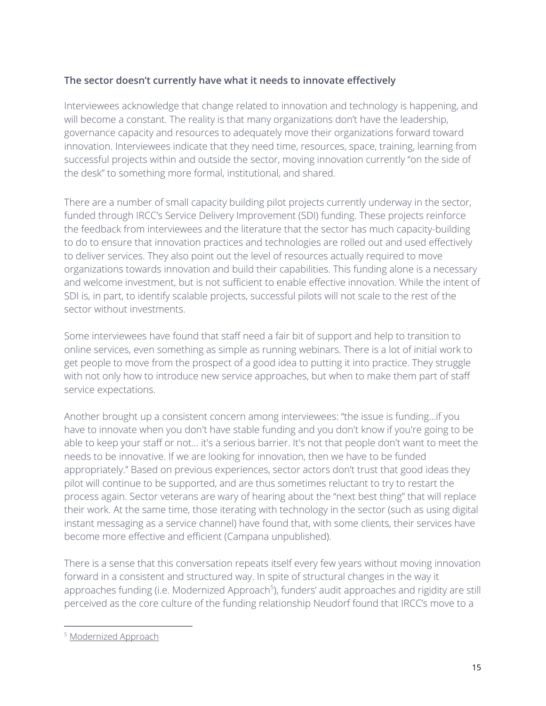### <span id="page-14-0"></span>**The sector doesn't currently have what it needs to innovate effectively**

Interviewees acknowledge that change related to innovation and technology is happening, and will become a constant. The reality is that many organizations don't have the leadership, governance capacity and resources to adequately move their organizations forward toward innovation. Interviewees indicate that they need time, resources, space, training, learning from successful projects within and outside the sector, moving innovation currently "on the side of the desk" to something more formal, institutional, and shared.

There are a number of small capacity building pilot projects currently underway in the sector, funded through IRCC's Service Delivery Improvement (SDI) funding. These projects reinforce the feedback from interviewees and the literature that the sector has much capacity-building to do to ensure that innovation practices and technologies are rolled out and used effectively to deliver services. They also point out the level of resources actually required to move organizations towards innovation and build their capabilities. This funding alone is a necessary and welcome investment, but is not sufficient to enable effective innovation. While the intent of SDI is, in part, to identify scalable projects, successful pilots will not scale to the rest of the sector without investments.

Some interviewees have found that staff need a fair bit of support and help to transition to online services, even something as simple as running webinars. There is a lot of initial work to get people to move from the prospect of a good idea to putting it into practice. They struggle with not only how to introduce new service approaches, but when to make them part of staff service expectations.

Another brought up a consistent concern among interviewees: "the issue is funding…if you have to innovate when you don't have stable funding and you don't know if you're going to be able to keep your staff or not... it's a serious barrier. It's not that people don't want to meet the needs to be innovative. If we are looking for innovation, then we have to be funded appropriately." Based on previous experiences, sector actors don't trust that good ideas they pilot will continue to be supported, and are thus sometimes reluctant to try to restart the process again. Sector veterans are wary of hearing about the "next best thing" that will replace their work. At the same time, those iterating with technology in the sector (such as using digital instant messaging as a service channel) have found that, with some clients, their services have become more effective and efficient (Campana unpublished).

There is a sense that this conversation repeats itself every few years without moving innovation forward in a consistent and structured way. In spite of structural changes in the way it approaches funding (i.e. Modernized Approach<sup>5</sup>), funders' audit approaches and rigidity are still perceived as the core culture of the funding relationship Neudorf found that IRCC's move to a

<sup>5</sup> [Modernized](http://atwork.settlement.org/downloads/atwork/CIC_Modernized_Approach_SPOs.pdf) Approach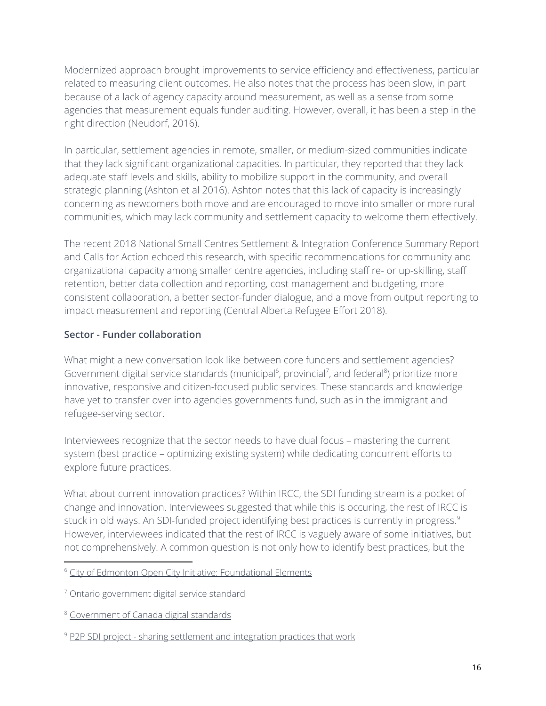Modernized approach brought improvements to service efficiency and effectiveness, particular related to measuring client outcomes. He also notes that the process has been slow, in part because of a lack of agency capacity around measurement, as well as a sense from some agencies that measurement equals funder auditing. However, overall, it has been a step in the right direction (Neudorf, 2016).

In particular, settlement agencies in remote, smaller, or medium-sized communities indicate that they lack significant organizational capacities. In particular, they reported that they lack adequate staff levels and skills, ability to mobilize support in the community, and overall strategic planning (Ashton et al 2016). Ashton notes that this lack of capacity is increasingly concerning as newcomers both move and are encouraged to move into smaller or more rural communities, which may lack community and settlement capacity to welcome them effectively.

The recent 2018 National Small Centres Settlement & Integration Conference Summary Report and Calls for Action echoed this research, with specific recommendations for community and organizational capacity among smaller centre agencies, including staff re- or up-skilling, staff retention, better data collection and reporting, cost management and budgeting, more consistent collaboration, a better sector-funder dialogue, and a move from output reporting to impact measurement and reporting (Central Alberta Refugee Effort 2018).

### <span id="page-15-0"></span>**Sector - Funder collaboration**

What might a new conversation look like between core funders and settlement agencies? Government digital service standards (municipal<sup>6</sup>, provincial<sup>7</sup>, and federal<sup>8</sup>) prioritize more innovative, responsive and citizen-focused public services. These standards and knowledge have yet to transfer over into agencies governments fund, such as in the immigrant and refugee-serving sector.

Interviewees recognize that the sector needs to have dual focus – mastering the current system (best practice – optimizing existing system) while dedicating concurrent efforts to explore future practices.

What about current innovation practices? Within IRCC, the SDI funding stream is a pocket of change and innovation. Interviewees suggested that while this is occuring, the rest of IRCC is stuck in old ways. An SDI-funded project identifying best practices is currently in progress. 9 However, interviewees indicated that the rest of IRCC is vaguely aware of some initiatives, but not comprehensively. A common question is not only how to identify best practices, but the

- <sup>7</sup> Ontario [government](https://www.ontario.ca/page/digital-service-standard) digital service standard
- <sup>8</sup> [Government](https://www.canada.ca/en/government/system/digital-government/government-canada-digital-standards.html) of Canada digital standards

<sup>&</sup>lt;sup>6</sup> City of Edmonton Open City Initiative: [Foundational](https://www.edmonton.ca/city_government/initiatives_innovation/foundational-elements.aspx) Elements

<sup>&</sup>lt;sup>9</sup> P2P SDI project - sharing settlement and [integration](http://p2pcanada.ca/promising-practices/category/sharing-settlement-and-integration-practices-that-work/) practices that work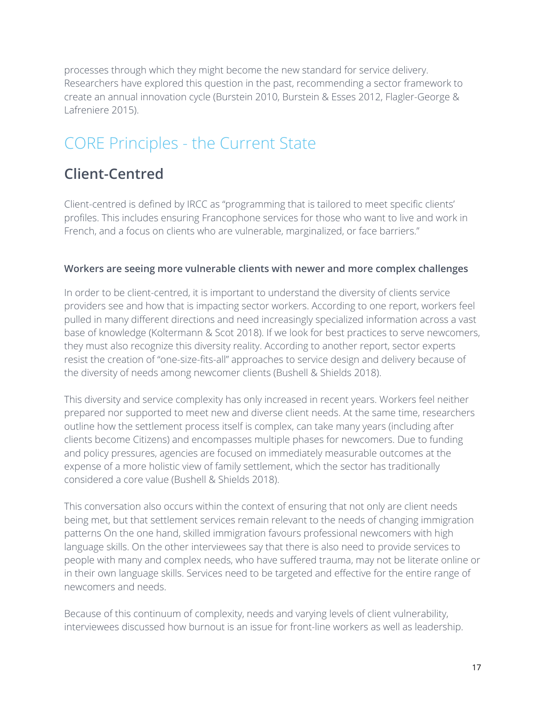processes through which they might become the new standard for service delivery. Researchers have explored this question in the past, recommending a sector framework to create an annual innovation cycle (Burstein 2010, Burstein & Esses 2012, Flagler-George & Lafreniere 2015).

# <span id="page-16-0"></span>CORE Principles - the Current State

# <span id="page-16-1"></span>**Client-Centred**

Client-centred is defined by IRCC as "programming that is tailored to meet specific clients' profiles. This includes ensuring Francophone services for those who want to live and work in French, and a focus on clients who are vulnerable, marginalized, or face barriers."

### <span id="page-16-2"></span>**Workers are seeing more vulnerable clients with newer and more complex challenges**

In order to be client-centred, it is important to understand the diversity of clients service providers see and how that is impacting sector workers. According to one report, workers feel pulled in many different directions and need increasingly specialized information across a vast base of knowledge (Koltermann & Scot 2018). If we look for best practices to serve newcomers, they must also recognize this diversity reality. According to another report, sector experts resist the creation of "one-size-fits-all" approaches to service design and delivery because of the diversity of needs among newcomer clients (Bushell & Shields 2018).

This diversity and service complexity has only increased in recent years. Workers feel neither prepared nor supported to meet new and diverse client needs. At the same time, researchers outline how the settlement process itself is complex, can take many years (including after clients become Citizens) and encompasses multiple phases for newcomers. Due to funding and policy pressures, agencies are focused on immediately measurable outcomes at the expense of a more holistic view of family settlement, which the sector has traditionally considered a core value (Bushell & Shields 2018).

This conversation also occurs within the context of ensuring that not only are client needs being met, but that settlement services remain relevant to the needs of changing immigration patterns On the one hand, skilled immigration favours professional newcomers with high language skills. On the other interviewees say that there is also need to provide services to people with many and complex needs, who have suffered trauma, may not be literate online or in their own language skills. Services need to be targeted and effective for the entire range of newcomers and needs.

Because of this continuum of complexity, needs and varying levels of client vulnerability, interviewees discussed how burnout is an issue for front-line workers as well as leadership.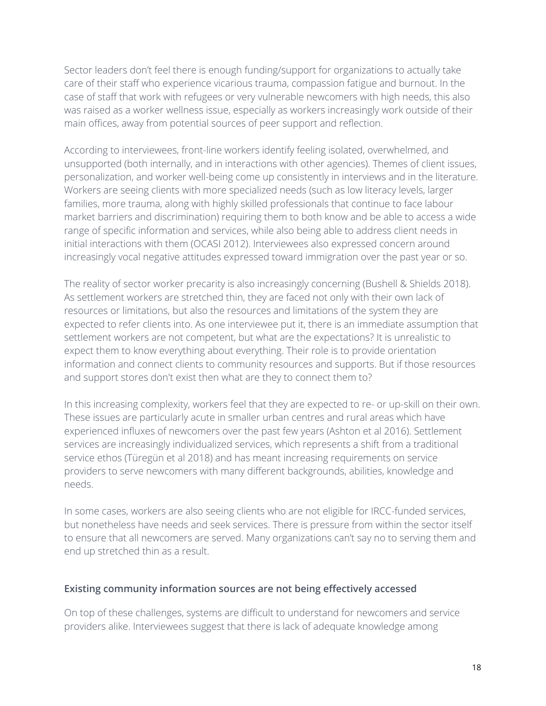Sector leaders don't feel there is enough funding/support for organizations to actually take care of their staff who experience vicarious trauma, compassion fatigue and burnout. In the case of staff that work with refugees or very vulnerable newcomers with high needs, this also was raised as a worker wellness issue, especially as workers increasingly work outside of their main offices, away from potential sources of peer support and reflection.

According to interviewees, front-line workers identify feeling isolated, overwhelmed, and unsupported (both internally, and in interactions with other agencies). Themes of client issues, personalization, and worker well-being come up consistently in interviews and in the literature. Workers are seeing clients with more specialized needs (such as low literacy levels, larger families, more trauma, along with highly skilled professionals that continue to face labour market barriers and discrimination) requiring them to both know and be able to access a wide range of specific information and services, while also being able to address client needs in initial interactions with them (OCASI 2012). Interviewees also expressed concern around increasingly vocal negative attitudes expressed toward immigration over the past year or so.

The reality of sector worker precarity is also increasingly concerning (Bushell & Shields 2018). As settlement workers are stretched thin, they are faced not only with their own lack of resources or limitations, but also the resources and limitations of the system they are expected to refer clients into. As one interviewee put it, there is an immediate assumption that settlement workers are not competent, but what are the expectations? It is unrealistic to expect them to know everything about everything. Their role is to provide orientation information and connect clients to community resources and supports. But if those resources and support stores don't exist then what are they to connect them to?

In this increasing complexity, workers feel that they are expected to re- or up-skill on their own. These issues are particularly acute in smaller urban centres and rural areas which have experienced influxes of newcomers over the past few years (Ashton et al 2016). Settlement services are increasingly individualized services, which represents a shift from a traditional service ethos (Türegün et al 2018) and has meant increasing requirements on service providers to serve newcomers with many different backgrounds, abilities, knowledge and needs.

In some cases, workers are also seeing clients who are not eligible for IRCC-funded services, but nonetheless have needs and seek services. There is pressure from within the sector itself to ensure that all newcomers are served. Many organizations can't say no to serving them and end up stretched thin as a result.

### <span id="page-17-0"></span>**Existing community information sources are not being effectively accessed**

On top of these challenges, systems are difficult to understand for newcomers and service providers alike. Interviewees suggest that there is lack of adequate knowledge among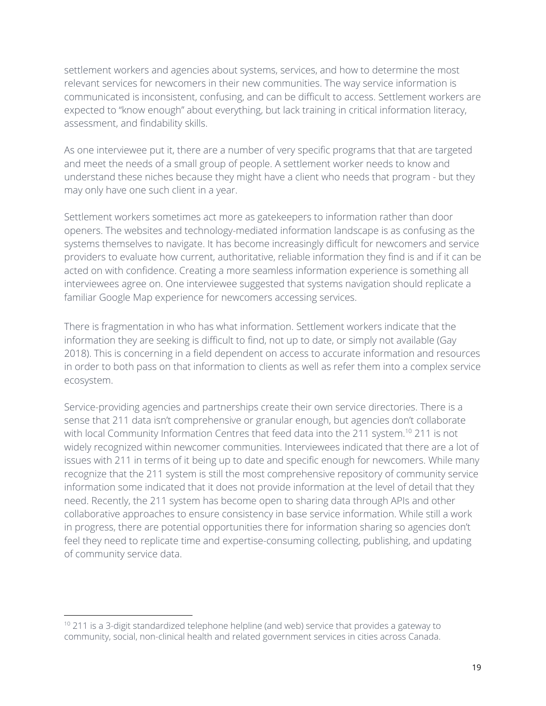settlement workers and agencies about systems, services, and how to determine the most relevant services for newcomers in their new communities. The way service information is communicated is inconsistent, confusing, and can be difficult to access. Settlement workers are expected to "know enough" about everything, but lack training in critical information literacy, assessment, and findability skills.

As one interviewee put it, there are a number of very specific programs that that are targeted and meet the needs of a small group of people. A settlement worker needs to know and understand these niches because they might have a client who needs that program - but they may only have one such client in a year.

Settlement workers sometimes act more as gatekeepers to information rather than door openers. The websites and technology-mediated information landscape is as confusing as the systems themselves to navigate. It has become increasingly difficult for newcomers and service providers to evaluate how current, authoritative, reliable information they find is and if it can be acted on with confidence. Creating a more seamless information experience is something all interviewees agree on. One interviewee suggested that systems navigation should replicate a familiar Google Map experience for newcomers accessing services.

There is fragmentation in who has what information. Settlement workers indicate that the information they are seeking is difficult to find, not up to date, or simply not available (Gay 2018). This is concerning in a field dependent on access to accurate information and resources in order to both pass on that information to clients as well as refer them into a complex service ecosystem.

Service-providing agencies and partnerships create their own service directories. There is a sense that 211 data isn't comprehensive or granular enough, but agencies don't collaborate with local Community Information Centres that feed data into the 211 system. $^{10}$  211 is not widely recognized within newcomer communities. Interviewees indicated that there are a lot of issues with 211 in terms of it being up to date and specific enough for newcomers. While many recognize that the 211 system is still the most comprehensive repository of community service information some indicated that it does not provide information at the level of detail that they need. Recently, the 211 system has become open to sharing data through APIs and other collaborative approaches to ensure consistency in base service information. While still a work in progress, there are potential opportunities there for information sharing so agencies don't feel they need to replicate time and expertise-consuming collecting, publishing, and updating of community service data.

<sup>&</sup>lt;sup>10</sup> 211 is a 3-digit standardized telephone helpline (and web) service that provides a gateway to community, social, non-clinical health and related government services in cities across Canada.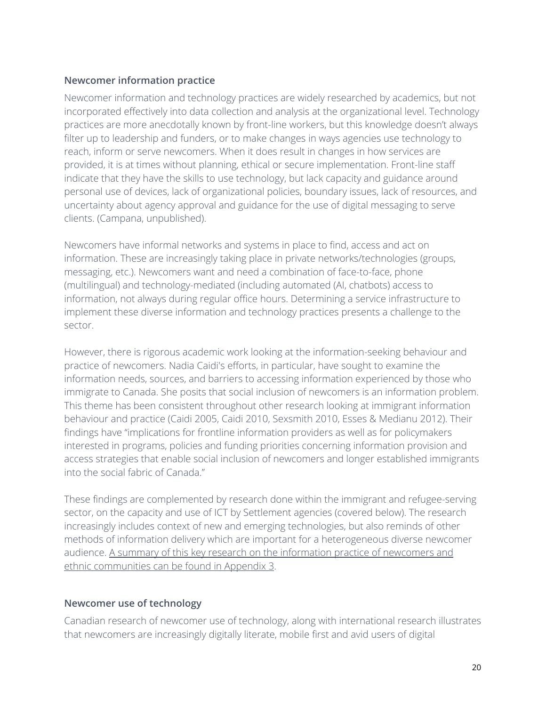### <span id="page-19-0"></span>**Newcomer information practice**

Newcomer information and technology practices are widely researched by academics, but not incorporated effectively into data collection and analysis at the organizational level. Technology practices are more anecdotally known by front-line workers, but this knowledge doesn't always filter up to leadership and funders, or to make changes in ways agencies use technology to reach, inform or serve newcomers. When it does result in changes in how services are provided, it is at times without planning, ethical or secure implementation. Front-line staff indicate that they have the skills to use technology, but lack capacity and guidance around personal use of devices, lack of organizational policies, boundary issues, lack of resources, and uncertainty about agency approval and guidance for the use of digital messaging to serve clients. (Campana, unpublished).

Newcomers have informal networks and systems in place to find, access and act on information. These are increasingly taking place in private networks/technologies (groups, messaging, etc.). Newcomers want and need a combination of face-to-face, phone (multilingual) and technology-mediated (including automated (AI, chatbots) access to information, not always during regular office hours. Determining a service infrastructure to implement these diverse information and technology practices presents a challenge to the sector.

However, there is rigorous academic work looking at the information-seeking behaviour and practice of newcomers. Nadia Caidi's efforts, in particular, have sought to examine the information needs, sources, and barriers to accessing information experienced by those who immigrate to Canada. She posits that social inclusion of newcomers is an information problem. This theme has been consistent throughout other research looking at immigrant information behaviour and practice (Caidi 2005, Caidi 2010, Sexsmith 2010, Esses & Medianu 2012). Their findings have "implications for frontline information providers as well as for policymakers interested in programs, policies and funding priorities concerning information provision and access strategies that enable social inclusion of newcomers and longer established immigrants into the social fabric of Canada."

These findings are complemented by research done within the immigrant and refugee-serving sector, on the capacity and use of ICT by Settlement agencies (covered below). The research increasingly includes context of new and emerging technologies, but also reminds of other methods of information delivery which are important for a heterogeneous diverse newcomer audience. A summary of this key research on the information practice of newcomers and ethnic communities can be found in Appendix 3.

### <span id="page-19-1"></span>**Newcomer use of technology**

Canadian research of newcomer use of technology, along with international research illustrates that newcomers are increasingly digitally literate, mobile first and avid users of digital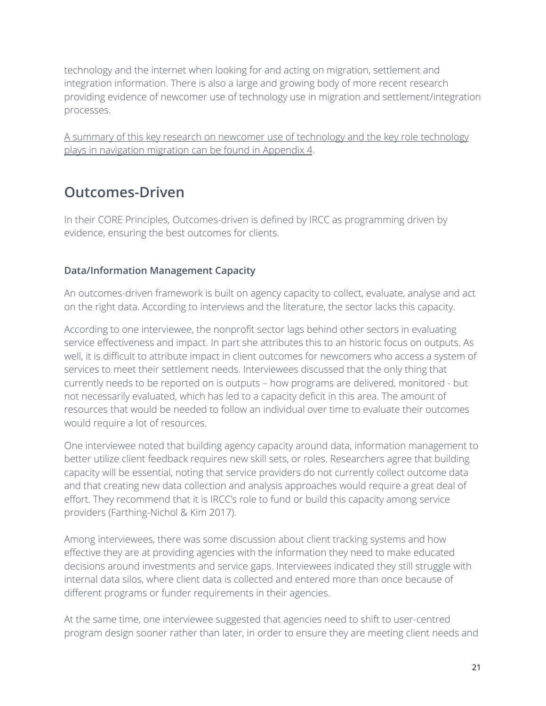technology and the internet when looking for and acting on migration, settlement and integration information. There is also a large and growing body of more recent research providing evidence of newcomer use of technology use in migration and settlement/integration processes.

A summary of this key research on newcomer use of technology and the key role technology plays in navigation migration can be found in Appendix 4.

### <span id="page-20-0"></span>**Outcomes-Driven**

In their CORE Principles, Outcomes-driven is defined by IRCC as programming driven by evidence, ensuring the best outcomes for clients.

### <span id="page-20-1"></span>**Data/Information Management Capacity**

An outcomes-driven framework is built on agency capacity to collect, evaluate, analyse and act on the right data. According to interviews and the literature, the sector lacks this capacity.

According to one interviewee, the nonprofit sector lags behind other sectors in evaluating service effectiveness and impact. In part she attributes this to an historic focus on outputs. As well, it is difficult to attribute impact in client outcomes for newcomers who access a system of services to meet their settlement needs. Interviewees discussed that the only thing that currently needs to be reported on is outputs – how programs are delivered, monitored - but not necessarily evaluated, which has led to a capacity deficit in this area. The amount of resources that would be needed to follow an individual over time to evaluate their outcomes would require a lot of resources.

One interviewee noted that building agency capacity around data, information management to better utilize client feedback requires new skill sets, or roles. Researchers agree that building capacity will be essential, noting that service providers do not currently collect outcome data and that creating new data collection and analysis approaches would require a great deal of effort. They recommend that it is IRCC's role to fund or build this capacity among service providers (Farthing-Nichol & Kim 2017).

Among interviewees, there was some discussion about client tracking systems and how effective they are at providing agencies with the information they need to make educated decisions around investments and service gaps. Interviewees indicated they still struggle with internal data silos, where client data is collected and entered more than once because of different programs or funder requirements in their agencies.

At the same time, one interviewee suggested that agencies need to shift to user-centred program design sooner rather than later, in order to ensure they are meeting client needs and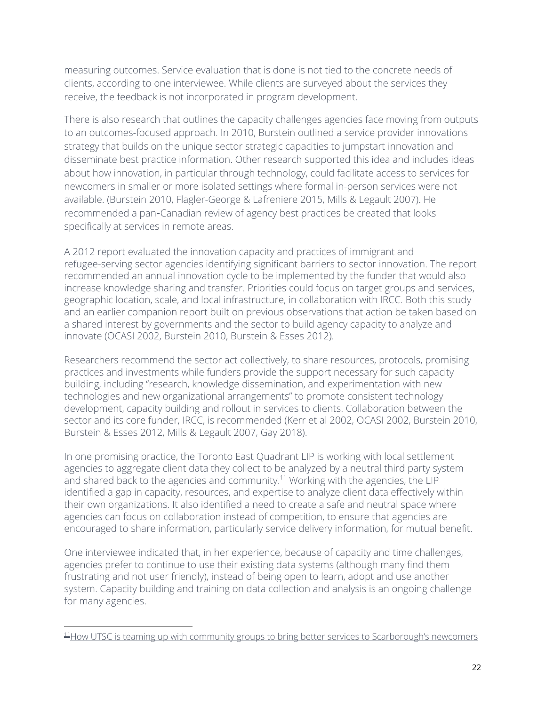measuring outcomes. Service evaluation that is done is not tied to the concrete needs of clients, according to one interviewee. While clients are surveyed about the services they receive, the feedback is not incorporated in program development.

There is also research that outlines the capacity challenges agencies face moving from outputs to an outcomes-focused approach. In 2010, Burstein outlined a service provider innovations strategy that builds on the unique sector strategic capacities to jumpstart innovation and disseminate best practice information. Other research supported this idea and includes ideas about how innovation, in particular through technology, could facilitate access to services for newcomers in smaller or more isolated settings where formal in-person services were not available. (Burstein 2010, Flagler-George & Lafreniere 2015, Mills & Legault 2007). He recommended a pan-Canadian review of agency best practices be created that looks specifically at services in remote areas.

A 2012 report evaluated the innovation capacity and practices of immigrant and refugee-serving sector agencies identifying significant barriers to sector innovation. The report recommended an annual innovation cycle to be implemented by the funder that would also increase knowledge sharing and transfer. Priorities could focus on target groups and services, geographic location, scale, and local infrastructure, in collaboration with IRCC. Both this study and an earlier companion report built on previous observations that action be taken based on a shared interest by governments and the sector to build agency capacity to analyze and innovate (OCASI 2002, Burstein 2010, Burstein & Esses 2012).

Researchers recommend the sector act collectively, to share resources, protocols, promising practices and investments while funders provide the support necessary for such capacity building, including "research, knowledge dissemination, and experimentation with new technologies and new organizational arrangements" to promote consistent technology development, capacity building and rollout in services to clients. Collaboration between the sector and its core funder, IRCC, is recommended (Kerr et al 2002, OCASI 2002, Burstein 2010, Burstein & Esses 2012, Mills & Legault 2007, Gay 2018).

In one promising practice, the Toronto East Quadrant LIP is working with local settlement agencies to aggregate client data they collect to be analyzed by a neutral third party system and shared back to the agencies and community.<sup>11</sup> Working with the agencies, the LIP identified a gap in capacity, resources, and expertise to analyze client data effectively within their own organizations. It also identified a need to create a safe and neutral space where agencies can focus on collaboration instead of competition, to ensure that agencies are encouraged to share information, particularly service delivery information, for mutual benefit.

One interviewee indicated that, in her experience, because of capacity and time challenges, agencies prefer to continue to use their existing data systems (although many find them frustrating and not user friendly), instead of being open to learn, adopt and use another system. Capacity building and training on data collection and analysis is an ongoing challenge for many agencies.

<sup>&</sup>lt;sup>11</sup>How UTSC is teaming up with community groups to bring better services to [Scarborough's](https://utsc.utoronto.ca/news-events/news/how-utsc-teaming-community-groups-bring-better-services-scarboroughs-newcomers) newcomers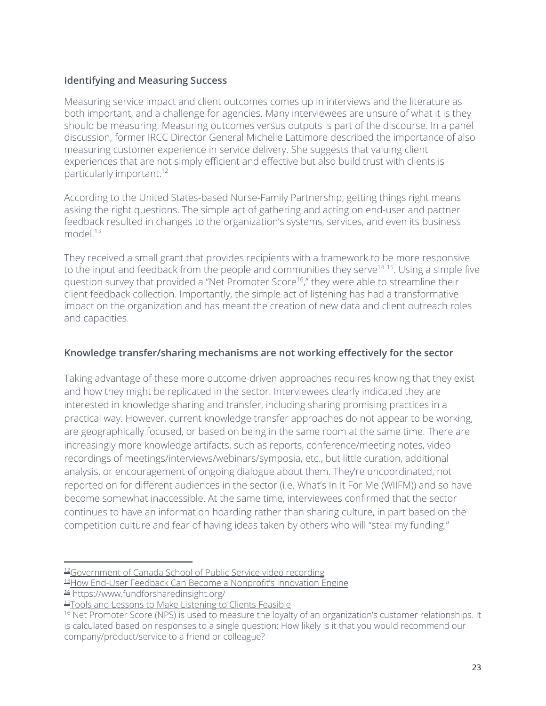### <span id="page-22-0"></span>**Identifying and Measuring Success**

Measuring service impact and client outcomes comes up in interviews and the literature as both important, and a challenge for agencies. Many interviewees are unsure of what it is they should be measuring. Measuring outcomes versus outputs is part of the discourse. In a panel discussion, former IRCC Director General Michelle Lattimore described the importance of also measuring customer experience in service delivery. She suggests that valuing client experiences that are not simply efficient and effective but also build trust with clients is particularly important. 12

According to the United States-based Nurse-Family Partnership, getting things right means asking the right questions. The simple act of gathering and acting on end-user and partner feedback resulted in changes to the organization's systems, services, and even its business model. 13

They received a small grant that provides recipients with a framework to be more responsive to the input and feedback from the people and communities they serve<sup>14 15</sup>. Using a simple five question survey that provided a "Net Promoter Score<sup>16</sup>," they were able to streamline their client feedback collection. Importantly, the simple act of listening has had a transformative impact on the organization and has meant the creation of new data and client outreach roles and capacities.

### <span id="page-22-1"></span>**Knowledge transfer/sharing mechanisms are not working effectively for the sector**

Taking advantage of these more outcome-driven approaches requires knowing that they exist and how they might be replicated in the sector. Interviewees clearly indicated they are interested in knowledge sharing and transfer, including sharing promising practices in a practical way. However, current knowledge transfer approaches do not appear to be working, are geographically focused, or based on being in the same room at the same time. There are increasingly more knowledge artifacts, such as reports, conference/meeting notes, video recordings of meetings/interviews/webinars/symposia, etc., but little curation, additional analysis, or encouragement of ongoing dialogue about them. They're uncoordinated, not reported on for different audiences in the sector (i.e. What's In It For Me (WIIFM)) and so have become somewhat inaccessible. At the same time, interviewees confirmed that the sector continues to have an information hoarding rather than sharing culture, in part based on the competition culture and fear of having ideas taken by others who will "steal my funding."

<sup>&</sup>lt;sup>12</sup>[Government](http://collaboratevideo.net/MAXPlayer95/default.aspx?cid=cshost&pid=V1N&vid=2018-10-16-AM&ln=en&bw=720P&webcastID=CS-2018-10-16-AMr&count=1) of Canada School of Public Service video recording

<sup>13</sup>How End-User Feedback Can Become a [Nonprofit's](https://ssir.org/articles/entry/how_end_user_feedback_can_become_a_nonprofits_innovation_engine#) Innovation Engine <sup>14</sup> <https://www.fundforsharedinsight.org/>

<sup>15</sup>Tools and Lessons to Make [Listening](https://ssir.org/videos/entry/tools_and_lessons_to_make_listening_to_clients_feasible) to Clients Feasible

<sup>&</sup>lt;sup>16</sup> Net Promoter Score (NPS) is used to measure the loyalty of an organization's customer relationships. It is calculated based on responses to a single question: How likely is it that you would recommend our company/product/service to a friend or colleague?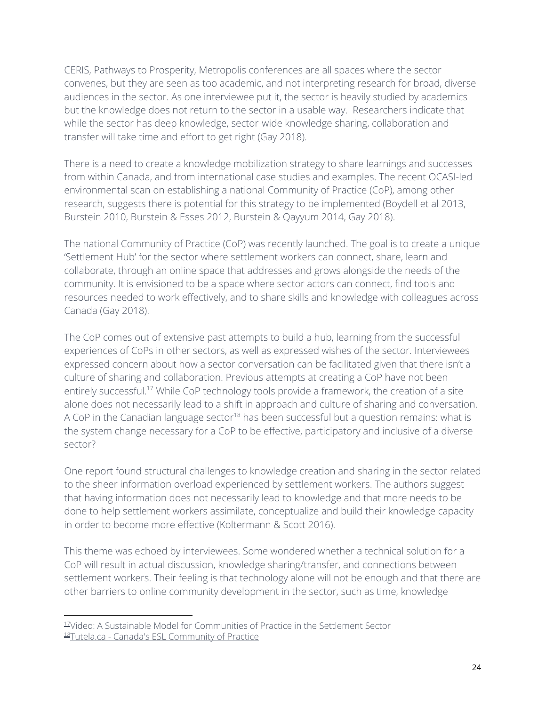CERIS, Pathways to Prosperity, Metropolis conferences are all spaces where the sector convenes, but they are seen as too academic, and not interpreting research for broad, diverse audiences in the sector. As one interviewee put it, the sector is heavily studied by academics but the knowledge does not return to the sector in a usable way. Researchers indicate that while the sector has deep knowledge, sector-wide knowledge sharing, collaboration and transfer will take time and effort to get right (Gay 2018).

There is a need to create a knowledge mobilization strategy to share learnings and successes from within Canada, and from international case studies and examples. The recent OCASI-led environmental scan on establishing a national Community of Practice (CoP), among other research, suggests there is potential for this strategy to be implemented (Boydell et al 2013, Burstein 2010, Burstein & Esses 2012, Burstein & Qayyum 2014, Gay 2018).

The national Community of Practice (CoP) was recently launched. The goal is to create a unique 'Settlement Hub' for the sector where settlement workers can connect, share, learn and collaborate, through an online space that addresses and grows alongside the needs of the community. It is envisioned to be a space where sector actors can connect, find tools and resources needed to work effectively, and to share skills and knowledge with colleagues across Canada (Gay 2018).

The CoP comes out of extensive past attempts to build a hub, learning from the successful experiences of CoPs in other sectors, as well as expressed wishes of the sector. Interviewees expressed concern about how a sector conversation can be facilitated given that there isn't a culture of sharing and collaboration. Previous attempts at creating a CoP have not been entirely successful.<sup>17</sup> While CoP technology tools provide a framework, the creation of a site alone does not necessarily lead to a shift in approach and culture of sharing and conversation. A CoP in the Canadian language sector<sup>18</sup> has been successful but a question remains: what is the system change necessary for a CoP to be effective, participatory and inclusive of a diverse sector?

One report found structural challenges to knowledge creation and sharing in the sector related to the sheer information overload experienced by settlement workers. The authors suggest that having information does not necessarily lead to knowledge and that more needs to be done to help settlement workers assimilate, conceptualize and build their knowledge capacity in order to become more effective (Koltermann & Scott 2016).

This theme was echoed by interviewees. Some wondered whether a technical solution for a CoP will result in actual discussion, knowledge sharing/transfer, and connections between settlement workers. Their feeling is that technology alone will not be enough and that there are other barriers to online community development in the sector, such as time, knowledge

<sup>17</sup>Video: A Sustainable Model for [Communities](https://www.youtube.com/watch?v=8K9HySRbTqg&t=) of Practice in the Settlement Sector 18Tutela.ca - Canada's ESL [Community](http://www.tutela.ca/) of Practice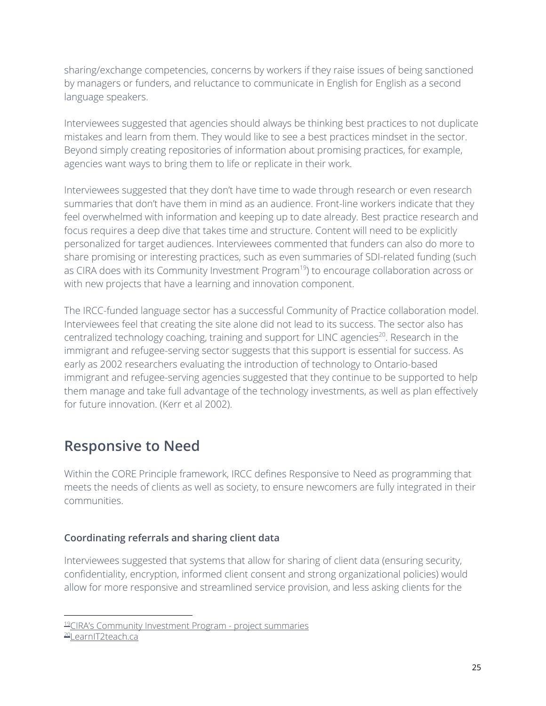sharing/exchange competencies, concerns by workers if they raise issues of being sanctioned by managers or funders, and reluctance to communicate in English for English as a second language speakers.

Interviewees suggested that agencies should always be thinking best practices to not duplicate mistakes and learn from them. They would like to see a best practices mindset in the sector. Beyond simply creating repositories of information about promising practices, for example, agencies want ways to bring them to life or replicate in their work.

Interviewees suggested that they don't have time to wade through research or even research summaries that don't have them in mind as an audience. Front-line workers indicate that they feel overwhelmed with information and keeping up to date already. Best practice research and focus requires a deep dive that takes time and structure. Content will need to be explicitly personalized for target audiences. Interviewees commented that funders can also do more to share promising or interesting practices, such as even summaries of SDI-related funding (such as CIRA does with its Community Investment Program<sup>19</sup>) to encourage collaboration across or with new projects that have a learning and innovation component.

The IRCC-funded language sector has a successful Community of Practice collaboration model. Interviewees feel that creating the site alone did not lead to its success. The sector also has centralized technology coaching, training and support for LINC agencies<sup>20</sup>. Research in the immigrant and refugee-serving sector suggests that this support is essential for success. As early as 2002 researchers evaluating the introduction of technology to Ontario-based immigrant and refugee-serving agencies suggested that they continue to be supported to help them manage and take full advantage of the technology investments, as well as plan effectively for future innovation. (Kerr et al 2002).

### <span id="page-24-0"></span>**Responsive to Need**

Within the CORE Principle framework, IRCC defines Responsive to Need as programming that meets the needs of clients as well as society, to ensure newcomers are fully integrated in their communities.

### <span id="page-24-1"></span>**Coordinating referrals and sharing client data**

Interviewees suggested that systems that allow for sharing of client data (ensuring security, confidentiality, encryption, informed client consent and strong organizational policies) would allow for more responsive and streamlined service provision, and less asking clients for the

<sup>19</sup>CIRA's [Community](https://cira.ca/build-better-internet/community-investment-program/find-project) Investment Program - project summaries 20[LearnIT2teach.ca](http://learnit2teach.ca/)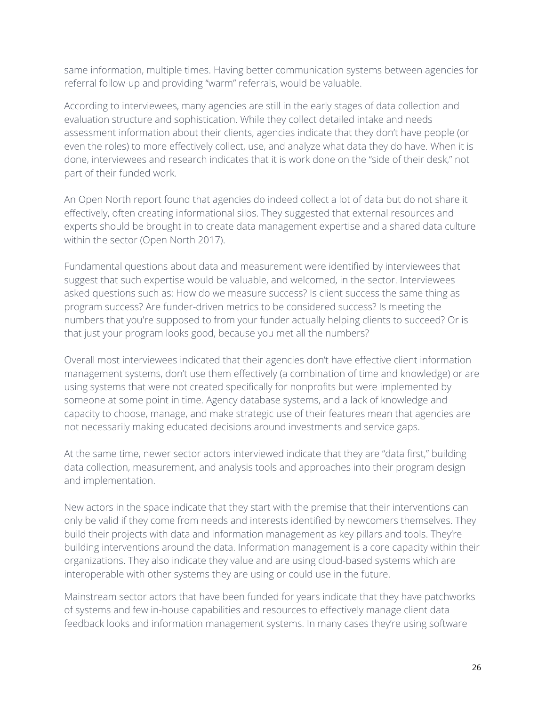same information, multiple times. Having better communication systems between agencies for referral follow-up and providing "warm" referrals, would be valuable.

According to interviewees, many agencies are still in the early stages of data collection and evaluation structure and sophistication. While they collect detailed intake and needs assessment information about their clients, agencies indicate that they don't have people (or even the roles) to more effectively collect, use, and analyze what data they do have. When it is done, interviewees and research indicates that it is work done on the "side of their desk," not part of their funded work.

An Open North report found that agencies do indeed collect a lot of data but do not share it effectively, often creating informational silos. They suggested that external resources and experts should be brought in to create data management expertise and a shared data culture within the sector (Open North 2017).

Fundamental questions about data and measurement were identified by interviewees that suggest that such expertise would be valuable, and welcomed, in the sector. Interviewees asked questions such as: How do we measure success? Is client success the same thing as program success? Are funder-driven metrics to be considered success? Is meeting the numbers that you're supposed to from your funder actually helping clients to succeed? Or is that just your program looks good, because you met all the numbers?

Overall most interviewees indicated that their agencies don't have effective client information management systems, don't use them effectively (a combination of time and knowledge) or are using systems that were not created specifically for nonprofits but were implemented by someone at some point in time. Agency database systems, and a lack of knowledge and capacity to choose, manage, and make strategic use of their features mean that agencies are not necessarily making educated decisions around investments and service gaps.

At the same time, newer sector actors interviewed indicate that they are "data first," building data collection, measurement, and analysis tools and approaches into their program design and implementation.

New actors in the space indicate that they start with the premise that their interventions can only be valid if they come from needs and interests identified by newcomers themselves. They build their projects with data and information management as key pillars and tools. They're building interventions around the data. Information management is a core capacity within their organizations. They also indicate they value and are using cloud-based systems which are interoperable with other systems they are using or could use in the future.

Mainstream sector actors that have been funded for years indicate that they have patchworks of systems and few in-house capabilities and resources to effectively manage client data feedback looks and information management systems. In many cases they're using software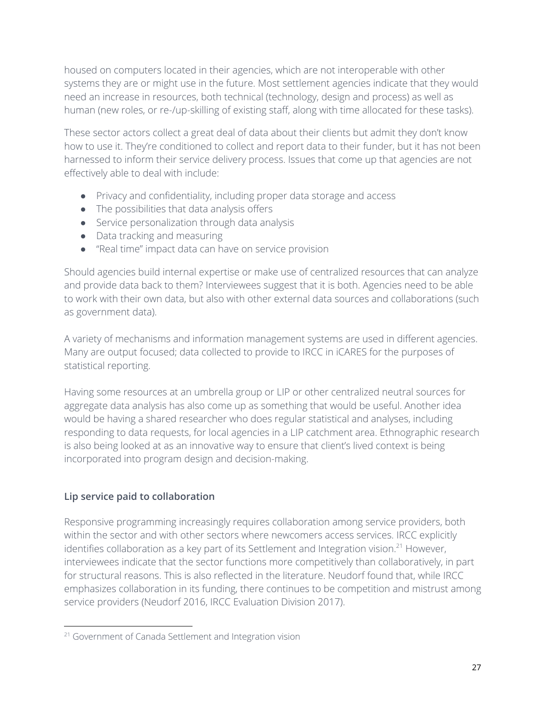housed on computers located in their agencies, which are not interoperable with other systems they are or might use in the future. Most settlement agencies indicate that they would need an increase in resources, both technical (technology, design and process) as well as human (new roles, or re-/up-skilling of existing staff, along with time allocated for these tasks).

These sector actors collect a great deal of data about their clients but admit they don't know how to use it. They're conditioned to collect and report data to their funder, but it has not been harnessed to inform their service delivery process. Issues that come up that agencies are not effectively able to deal with include:

- Privacy and confidentiality, including proper data storage and access
- The possibilities that data analysis offers
- Service personalization through data analysis
- Data tracking and measuring
- "Real time" impact data can have on service provision

Should agencies build internal expertise or make use of centralized resources that can analyze and provide data back to them? Interviewees suggest that it is both. Agencies need to be able to work with their own data, but also with other external data sources and collaborations (such as government data).

A variety of mechanisms and information management systems are used in different agencies. Many are output focused; data collected to provide to IRCC in iCARES for the purposes of statistical reporting.

Having some resources at an umbrella group or LIP or other centralized neutral sources for aggregate data analysis has also come up as something that would be useful. Another idea would be having a shared researcher who does regular statistical and analyses, including responding to data requests, for local agencies in a LIP catchment area. Ethnographic research is also being looked at as an innovative way to ensure that client's lived context is being incorporated into program design and decision-making.

### <span id="page-26-0"></span>**Lip service paid to collaboration**

Responsive programming increasingly requires collaboration among service providers, both within the sector and with other sectors where newcomers access services. IRCC explicitly identifies collaboration as a key part of its Settlement and Integration vision.<sup>21</sup> However, interviewees indicate that the sector functions more competitively than collaboratively, in part for structural reasons. This is also reflected in the literature. Neudorf found that, while IRCC emphasizes collaboration in its funding, there continues to be competition and mistrust among service providers (Neudorf 2016, IRCC Evaluation Division 2017).

<sup>&</sup>lt;sup>21</sup> [Government](https://www.canada.ca/en/immigration-refugees-citizenship/corporate/partners-service-providers/funding/call-for-proposals-2019-settlement-and-ressetlement-funding-guidelines.html#settlement) of Canada Settlement and Integration vision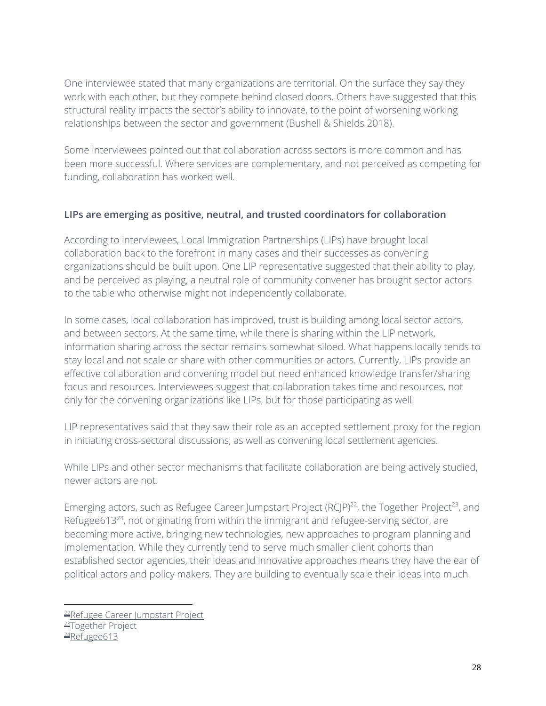One interviewee stated that many organizations are territorial. On the surface they say they work with each other, but they compete behind closed doors. Others have suggested that this structural reality impacts the sector's ability to innovate, to the point of worsening working relationships between the sector and government (Bushell & Shields 2018).

Some interviewees pointed out that collaboration across sectors is more common and has been more successful. Where services are complementary, and not perceived as competing for funding, collaboration has worked well.

### <span id="page-27-0"></span>**LIPs are emerging as positive, neutral, and trusted coordinators for collaboration**

According to interviewees, Local Immigration Partnerships (LIPs) have brought local collaboration back to the forefront in many cases and their successes as convening organizations should be built upon. One LIP representative suggested that their ability to play, and be perceived as playing, a neutral role of community convener has brought sector actors to the table who otherwise might not independently collaborate.

In some cases, local collaboration has improved, trust is building among local sector actors, and between sectors. At the same time, while there is sharing within the LIP network, information sharing across the sector remains somewhat siloed. What happens locally tends to stay local and not scale or share with other communities or actors. Currently, LIPs provide an effective collaboration and convening model but need enhanced knowledge transfer/sharing focus and resources. Interviewees suggest that collaboration takes time and resources, not only for the convening organizations like LIPs, but for those participating as well.

LIP representatives said that they saw their role as an accepted settlement proxy for the region in initiating cross-sectoral discussions, as well as convening local settlement agencies.

While LIPs and other sector mechanisms that facilitate collaboration are being actively studied, newer actors are not.

Emerging actors, such as Refugee Career Jumpstart Project (RCJP) $^{22}$ , the Together Project $^{23}$ , and Refugee613<sup>24</sup>, not originating from within the immigrant and refugee-serving sector, are becoming more active, bringing new technologies, new approaches to program planning and implementation. While they currently tend to serve much smaller client cohorts than established sector agencies, their ideas and innovative approaches means they have the ear of political actors and policy makers. They are building to eventually scale their ideas into much

<sup>22</sup>Refugee Career [Jumpstart](http://www.rcjp.ca/what-we-do) Project <sup>23</sup>[Together](https://www.thetogetherproject.ca/about-us) Project 24[Refugee613](https://www.refugee613.ca/pages/about-refugee-613)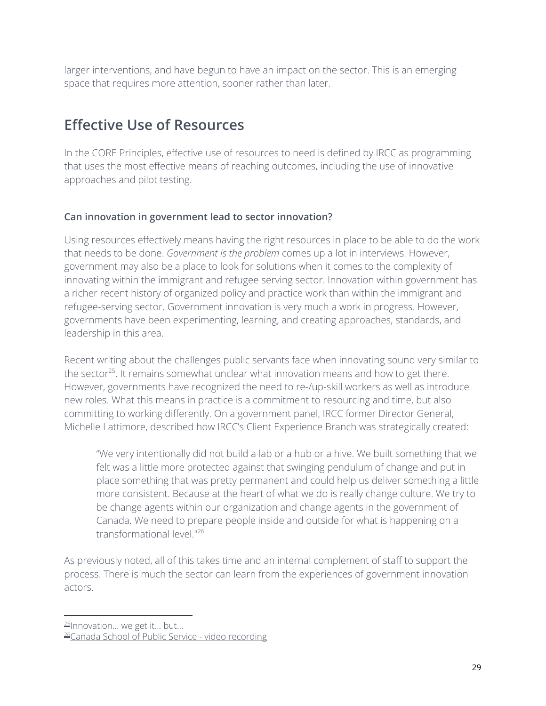larger interventions, and have begun to have an impact on the sector. This is an emerging space that requires more attention, sooner rather than later.

# <span id="page-28-0"></span>**Effective Use of Resources**

In the CORE Principles, effective use of resources to need is defined by IRCC as programming that uses the most effective means of reaching outcomes, including the use of innovative approaches and pilot testing.

### <span id="page-28-1"></span>**Can innovation in government lead to sector innovation?**

Using resources effectively means having the right resources in place to be able to do the work that needs to be done. *Government is the problem* comes up a lot in interviews. However, government may also be a place to look for solutions when it comes to the complexity of innovating within the immigrant and refugee serving sector. Innovation within government has a richer recent history of organized policy and practice work than within the immigrant and refugee-serving sector. Government innovation is very much a work in progress. However, governments have been experimenting, learning, and creating approaches, standards, and leadership in this area.

Recent writing about the challenges public servants face when innovating sound very similar to the sector<sup>25</sup>. It remains somewhat unclear what innovation means and how to get there. However, governments have recognized the need to re-/up-skill workers as well as introduce new roles. What this means in practice is a commitment to resourcing and time, but also committing to working differently. On a government panel, IRCC former Director General, Michelle Lattimore, described how IRCC's Client Experience Branch was strategically created:

"We very intentionally did not build a lab or a hub or a hive. We built something that we felt was a little more protected against that swinging pendulum of change and put in place something that was pretty permanent and could help us deliver something a little more consistent. Because at the heart of what we do is really change culture. We try to be change agents within our organization and change agents in the government of Canada. We need to prepare people inside and outside for what is happening on a transformational level." 26

As previously noted, all of this takes time and an internal complement of staff to support the process. There is much the sector can learn from the experiences of government innovation actors.

<sup>25</sup>Innovation... we get it... but...

<sup>26</sup>Canada School of Public Service - video [recording](http://collaboratevideo.net/MAXPlayer95/default.aspx?cid=cshost&pid=V1N&vid=2018-10-16-AM&ln=en&bw=720P&webcastID=CS-2018-10-16-AMr&count=1)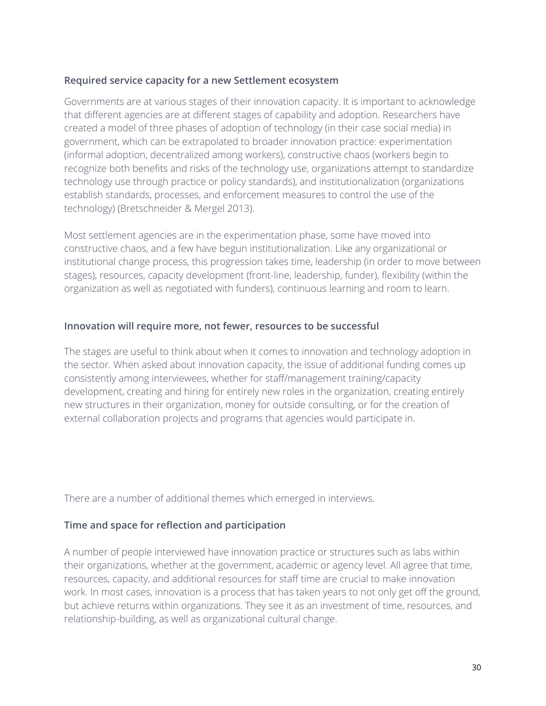### <span id="page-29-0"></span>**Required service capacity for a new Settlement ecosystem**

Governments are at various stages of their innovation capacity. It is important to acknowledge that different agencies are at different stages of capability and adoption. Researchers have created a model of three phases of adoption of technology (in their case social media) in government, which can be extrapolated to broader innovation practice: experimentation (informal adoption, decentralized among workers), constructive chaos (workers begin to recognize both benefits and risks of the technology use, organizations attempt to standardize technology use through practice or policy standards), and institutionalization (organizations establish standards, processes, and enforcement measures to control the use of the technology) (Bretschneider & Mergel 2013).

Most settlement agencies are in the experimentation phase, some have moved into constructive chaos, and a few have begun institutionalization. Like any organizational or institutional change process, this progression takes time, leadership (in order to move between stages), resources, capacity development (front-line, leadership, funder), flexibility (within the organization as well as negotiated with funders), continuous learning and room to learn.

### <span id="page-29-1"></span>**Innovation will require more, not fewer, resources to be successful**

The stages are useful to think about when it comes to innovation and technology adoption in the sector. When asked about innovation capacity, the issue of additional funding comes up consistently among interviewees, whether for staff/management training/capacity development, creating and hiring for entirely new roles in the organization, creating entirely new structures in their organization, money for outside consulting, or for the creation of external collaboration projects and programs that agencies would participate in.

There are a number of additional themes which emerged in interviews.

### **Time and space for reflection and participation**

A number of people interviewed have innovation practice or structures such as labs within their organizations, whether at the government, academic or agency level. All agree that time, resources, capacity, and additional resources for staff time are crucial to make innovation work. In most cases, innovation is a process that has taken years to not only get off the ground, but achieve returns within organizations. They see it as an investment of time, resources, and relationship-building, as well as organizational cultural change.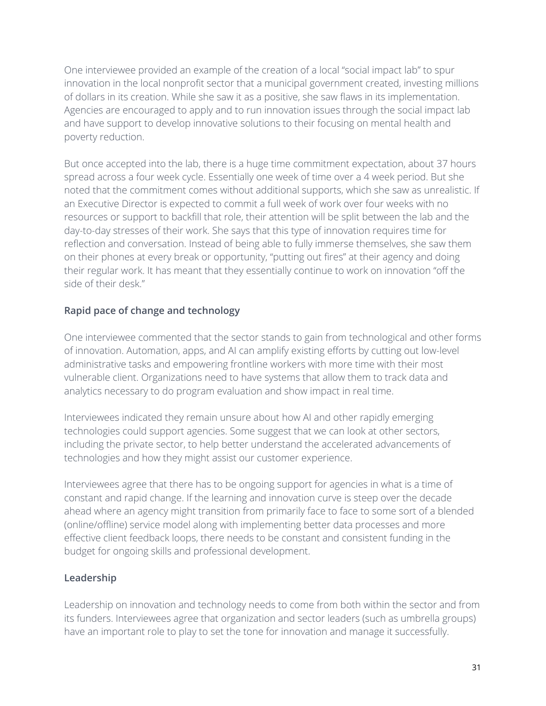One interviewee provided an example of the creation of a local "social impact lab" to spur innovation in the local nonprofit sector that a municipal government created, investing millions of dollars in its creation. While she saw it as a positive, she saw flaws in its implementation. Agencies are encouraged to apply and to run innovation issues through the social impact lab and have support to develop innovative solutions to their focusing on mental health and poverty reduction.

But once accepted into the lab, there is a huge time commitment expectation, about 37 hours spread across a four week cycle. Essentially one week of time over a 4 week period. But she noted that the commitment comes without additional supports, which she saw as unrealistic. If an Executive Director is expected to commit a full week of work over four weeks with no resources or support to backfill that role, their attention will be split between the lab and the day-to-day stresses of their work. She says that this type of innovation requires time for reflection and conversation. Instead of being able to fully immerse themselves, she saw them on their phones at every break or opportunity, "putting out fires" at their agency and doing their regular work. It has meant that they essentially continue to work on innovation "off the side of their desk."

### **Rapid pace of change and technology**

One interviewee commented that the sector stands to gain from technological and other forms of innovation. Automation, apps, and AI can amplify existing efforts by cutting out low-level administrative tasks and empowering frontline workers with more time with their most vulnerable client. Organizations need to have systems that allow them to track data and analytics necessary to do program evaluation and show impact in real time.

Interviewees indicated they remain unsure about how AI and other rapidly emerging technologies could support agencies. Some suggest that we can look at other sectors, including the private sector, to help better understand the accelerated advancements of technologies and how they might assist our customer experience.

Interviewees agree that there has to be ongoing support for agencies in what is a time of constant and rapid change. If the learning and innovation curve is steep over the decade ahead where an agency might transition from primarily face to face to some sort of a blended (online/offline) service model along with implementing better data processes and more effective client feedback loops, there needs to be constant and consistent funding in the budget for ongoing skills and professional development.

### **Leadership**

Leadership on innovation and technology needs to come from both within the sector and from its funders. Interviewees agree that organization and sector leaders (such as umbrella groups) have an important role to play to set the tone for innovation and manage it successfully.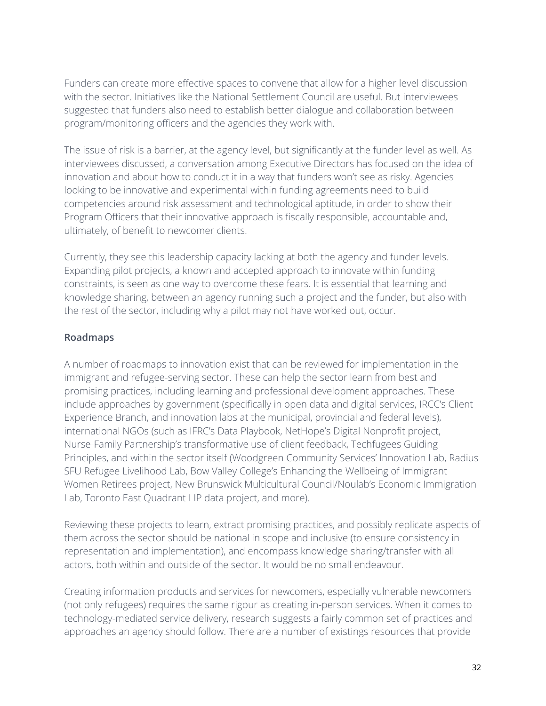Funders can create more effective spaces to convene that allow for a higher level discussion with the sector. Initiatives like the National Settlement Council are useful. But interviewees suggested that funders also need to establish better dialogue and collaboration between program/monitoring officers and the agencies they work with.

The issue of risk is a barrier, at the agency level, but significantly at the funder level as well. As interviewees discussed, a conversation among Executive Directors has focused on the idea of innovation and about how to conduct it in a way that funders won't see as risky. Agencies looking to be innovative and experimental within funding agreements need to build competencies around risk assessment and technological aptitude, in order to show their Program Officers that their innovative approach is fiscally responsible, accountable and, ultimately, of benefit to newcomer clients.

Currently, they see this leadership capacity lacking at both the agency and funder levels. Expanding pilot projects, a known and accepted approach to innovate within funding constraints, is seen as one way to overcome these fears. It is essential that learning and knowledge sharing, between an agency running such a project and the funder, but also with the rest of the sector, including why a pilot may not have worked out, occur.

### **Roadmaps**

A number of roadmaps to innovation exist that can be reviewed for implementation in the immigrant and refugee-serving sector. These can help the sector learn from best and promising practices, including learning and professional development approaches. These include approaches by government (specifically in open data and digital services, IRCC's Client Experience Branch, and innovation labs at the municipal, provincial and federal levels), international NGOs (such as IFRC's Data Playbook, NetHope's Digital Nonprofit project, Nurse-Family Partnership's transformative use of client feedback, Techfugees Guiding Principles, and within the sector itself (Woodgreen Community Services' Innovation Lab, Radius SFU Refugee Livelihood Lab, Bow Valley College's Enhancing the Wellbeing of Immigrant Women Retirees project, New Brunswick Multicultural Council/Noulab's Economic Immigration Lab, Toronto East Quadrant LIP data project, and more).

Reviewing these projects to learn, extract promising practices, and possibly replicate aspects of them across the sector should be national in scope and inclusive (to ensure consistency in representation and implementation), and encompass knowledge sharing/transfer with all actors, both within and outside of the sector. It would be no small endeavour.

Creating information products and services for newcomers, especially vulnerable newcomers (not only refugees) requires the same rigour as creating in-person services. When it comes to technology-mediated service delivery, research suggests a fairly common set of practices and approaches an agency should follow. There are a number of existings resources that provide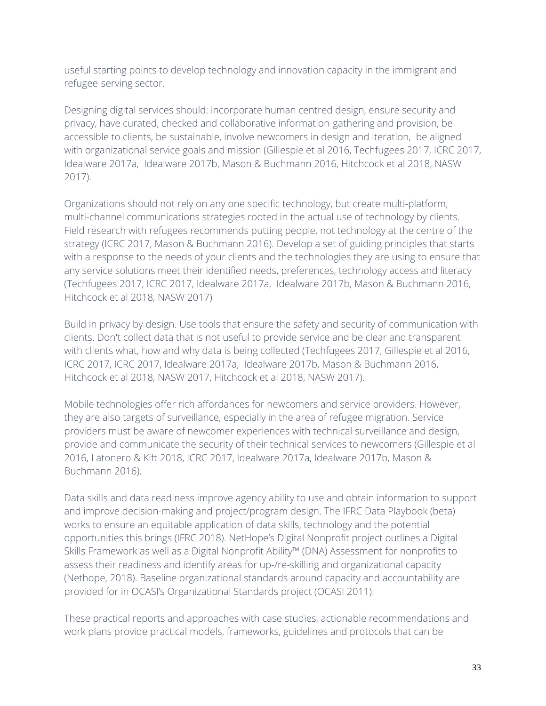useful starting points to develop technology and innovation capacity in the immigrant and refugee-serving sector.

Designing digital services should: incorporate human centred design, ensure security and privacy, have curated, checked and collaborative information-gathering and provision, be accessible to clients, be sustainable, involve newcomers in design and iteration, be aligned with organizational service goals and mission (Gillespie et al 2016, Techfugees 2017, ICRC 2017, Idealware 2017a, Idealware 2017b, Mason & Buchmann 2016, Hitchcock et al 2018, NASW 2017).

Organizations should not rely on any one specific technology, but create multi-platform, multi-channel communications strategies rooted in the actual use of technology by clients. Field research with refugees recommends putting people, not technology at the centre of the strategy (ICRC 2017, Mason & Buchmann 2016). Develop a set of guiding principles that starts with a response to the needs of your clients and the technologies they are using to ensure that any service solutions meet their identified needs, preferences, technology access and literacy (Techfugees 2017, ICRC 2017, Idealware 2017a, Idealware 2017b, Mason & Buchmann 2016, Hitchcock et al 2018, NASW 2017)

Build in privacy by design. Use tools that ensure the safety and security of communication with clients. Don't collect data that is not useful to provide service and be clear and transparent with clients what, how and why data is being collected (Techfugees 2017, Gillespie et al 2016, ICRC 2017, ICRC 2017, Idealware 2017a, Idealware 2017b, Mason & Buchmann 2016, Hitchcock et al 2018, NASW 2017, Hitchcock et al 2018, NASW 2017).

Mobile technologies offer rich affordances for newcomers and service providers. However, they are also targets of surveillance, especially in the area of refugee migration. Service providers must be aware of newcomer experiences with technical surveillance and design, provide and communicate the security of their technical services to newcomers (Gillespie et al 2016, Latonero & Kift 2018, ICRC 2017, Idealware 2017a, Idealware 2017b, Mason & Buchmann 2016).

Data skills and data readiness improve agency ability to use and obtain information to support and improve decision-making and project/program design. The IFRC Data Playbook (beta) works to ensure an equitable application of data skills, technology and the potential opportunities this brings (IFRC 2018). NetHope's Digital Nonprofit project outlines a Digital Skills Framework as well as a Digital Nonprofit Ability™ (DNA) Assessment for nonprofits to assess their readiness and identify areas for up-/re-skilling and organizational capacity (Nethope, 2018). Baseline organizational standards around capacity and accountability are provided for in OCASI's Organizational Standards project (OCASI 2011).

These practical reports and approaches with case studies, actionable recommendations and work plans provide practical models, frameworks, guidelines and protocols that can be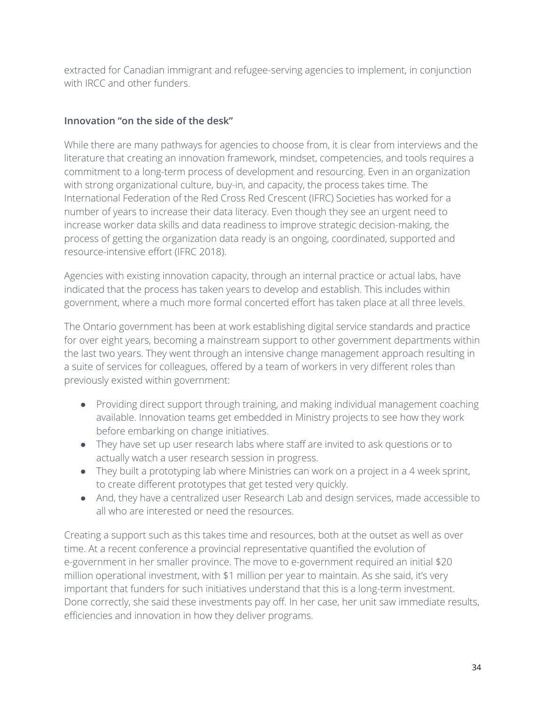extracted for Canadian immigrant and refugee-serving agencies to implement, in conjunction with IRCC and other funders.

### <span id="page-33-0"></span>**Innovation "on the side of the desk"**

While there are many pathways for agencies to choose from, it is clear from interviews and the literature that creating an innovation framework, mindset, competencies, and tools requires a commitment to a long-term process of development and resourcing. Even in an organization with strong organizational culture, buy-in, and capacity, the process takes time. The International Federation of the Red Cross Red Crescent (IFRC) Societies has worked for a number of years to increase their data literacy. Even though they see an urgent need to increase worker data skills and data readiness to improve strategic decision-making, the process of getting the organization data ready is an ongoing, coordinated, supported and resource-intensive effort (IFRC 2018).

Agencies with existing innovation capacity, through an internal practice or actual labs, have indicated that the process has taken years to develop and establish. This includes within government, where a much more formal concerted effort has taken place at all three levels.

The Ontario government has been at work establishing digital service standards and practice for over eight years, becoming a mainstream support to other government departments within the last two years. They went through an intensive change management approach resulting in a suite of services for colleagues, offered by a team of workers in very different roles than previously existed within government:

- Providing direct support through training, and making individual management coaching available. Innovation teams get embedded in Ministry projects to see how they work before embarking on change initiatives.
- They have set up user research labs where staff are invited to ask questions or to actually watch a user research session in progress.
- They built a prototyping lab where Ministries can work on a project in a 4 week sprint, to create different prototypes that get tested very quickly.
- And, they have a centralized user Research Lab and design services, made accessible to all who are interested or need the resources.

Creating a support such as this takes time and resources, both at the outset as well as over time. At a recent conference a provincial representative quantified the evolution of e-government in her smaller province. The move to e-government required an initial \$20 million operational investment, with \$1 million per year to maintain. As she said, it's very important that funders for such initiatives understand that this is a long-term investment. Done correctly, she said these investments pay off. In her case, her unit saw immediate results, efficiencies and innovation in how they deliver programs.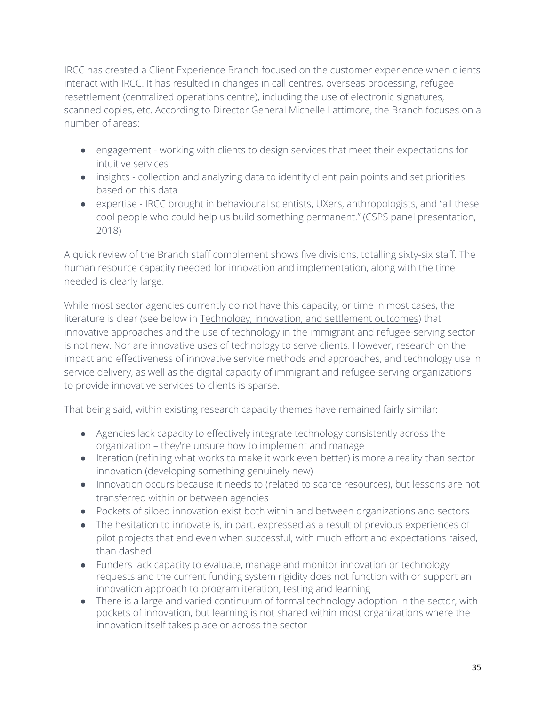IRCC has created a Client Experience Branch focused on the customer experience when clients interact with IRCC. It has resulted in changes in call centres, overseas processing, refugee resettlement (centralized operations centre), including the use of electronic signatures, scanned copies, etc. According to Director General Michelle Lattimore, the Branch focuses on a number of areas:

- engagement working with clients to design services that meet their expectations for intuitive services
- insights collection and analyzing data to identify client pain points and set priorities based on this data
- expertise IRCC brought in behavioural scientists, UXers, anthropologists, and "all these cool people who could help us build something permanent." (CSPS panel presentation, 2018)

A quick review of the Branch staff complement shows five divisions, totalling sixty-six staff. The human resource capacity needed for innovation and implementation, along with the time needed is clearly large.

While most sector agencies currently do not have this capacity, or time in most cases, the literature is clear (see below in [Technology,](https://docs.google.com/document/d/1sDRSPdPvM7EoXUm9Pcd16a79Q2F_MNuj7EKTb2lwRMg/edit?ts=5ca27e1f#heading=h.kvxrgp8h2gct) innovation, and settlement outcomes) that innovative approaches and the use of technology in the immigrant and refugee-serving sector is not new. Nor are innovative uses of technology to serve clients. However, research on the impact and effectiveness of innovative service methods and approaches, and technology use in service delivery, as well as the digital capacity of immigrant and refugee-serving organizations to provide innovative services to clients is sparse.

That being said, within existing research capacity themes have remained fairly similar:

- Agencies lack capacity to effectively integrate technology consistently across the organization – they're unsure how to implement and manage
- Iteration (refining what works to make it work even better) is more a reality than sector innovation (developing something genuinely new)
- Innovation occurs because it needs to (related to scarce resources), but lessons are not transferred within or between agencies
- Pockets of siloed innovation exist both within and between organizations and sectors
- The hesitation to innovate is, in part, expressed as a result of previous experiences of pilot projects that end even when successful, with much effort and expectations raised, than dashed
- Funders lack capacity to evaluate, manage and monitor innovation or technology requests and the current funding system rigidity does not function with or support an innovation approach to program iteration, testing and learning
- There is a large and varied continuum of formal technology adoption in the sector, with pockets of innovation, but learning is not shared within most organizations where the innovation itself takes place or across the sector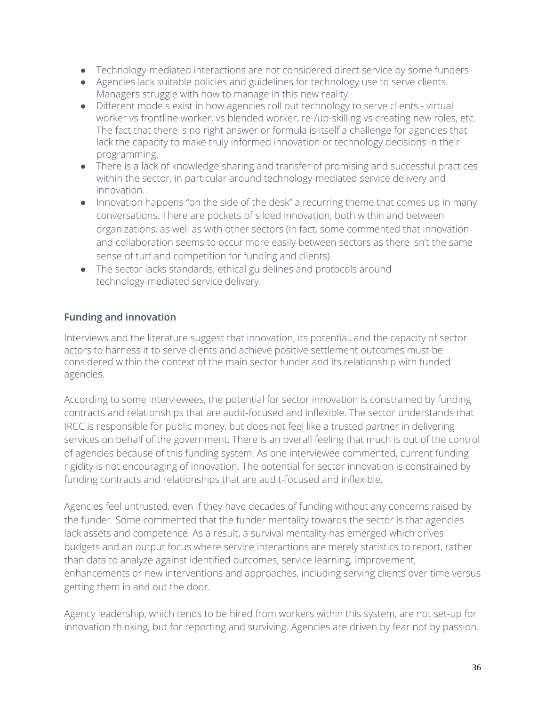- Technology-mediated interactions are not considered direct service by some funders
- Agencies lack suitable policies and guidelines for technology use to serve clients. Managers struggle with how to manage in this new reality.
- Different models exist in how agencies roll out technology to serve clients virtual worker vs frontline worker, vs blended worker, re-/up-skilling vs creating new roles, etc. The fact that there is no right answer or formula is itself a challenge for agencies that lack the capacity to make truly informed innovation or technology decisions in their programming.
- There is a lack of knowledge sharing and transfer of promising and successful practices within the sector, in particular around technology-mediated service delivery and innovation.
- Innovation happens "on the side of the desk" a recurring theme that comes up in many conversations. There are pockets of siloed innovation, both within and between organizations, as well as with other sectors (in fact, some commented that innovation and collaboration seems to occur more easily between sectors as there isn't the same sense of turf and competition for funding and clients).
- The sector lacks standards, ethical guidelines and protocols around technology-mediated service delivery.

### <span id="page-35-0"></span>**Funding and innovation**

Interviews and the literature suggest that innovation, its potential, and the capacity of sector actors to harness it to serve clients and achieve positive settlement outcomes must be considered within the context of the main sector funder and its relationship with funded agencies.

According to some interviewees, the potential for sector innovation is constrained by funding contracts and relationships that are audit-focused and inflexible. The sector understands that IRCC is responsible for public money, but does not feel like a trusted partner in delivering services on behalf of the government. There is an overall feeling that much is out of the control of agencies because of this funding system. As one interviewee commented, current funding rigidity is not encouraging of innovation. The potential for sector innovation is constrained by funding contracts and relationships that are audit-focused and inflexible.

Agencies feel untrusted, even if they have decades of funding without any concerns raised by the funder. Some commented that the funder mentality towards the sector is that agencies lack assets and competence. As a result, a survival mentality has emerged which drives budgets and an output focus where service interactions are merely statistics to report, rather than data to analyze against identified outcomes, service learning, improvement, enhancements or new interventions and approaches, including serving clients over time versus getting them in and out the door.

Agency leadership, which tends to be hired from workers within this system, are not set-up for innovation thinking, but for reporting and surviving. Agencies are driven by fear not by passion.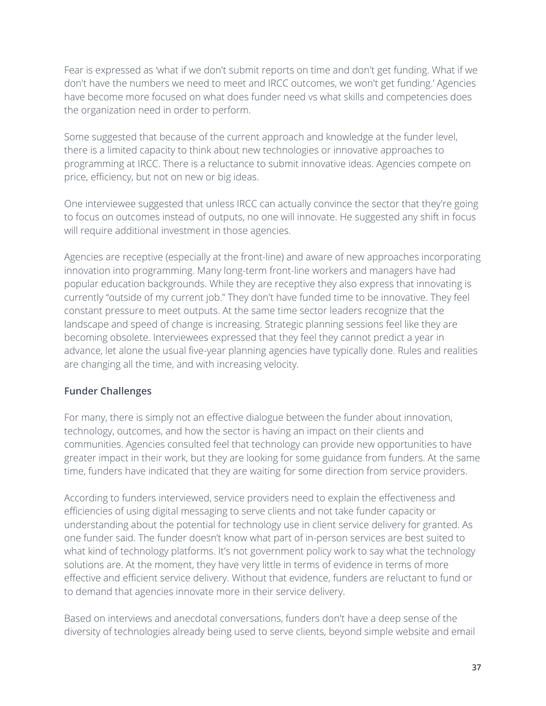Fear is expressed as 'what if we don't submit reports on time and don't get funding. What if we don't have the numbers we need to meet and IRCC outcomes, we won't get funding.' Agencies have become more focused on what does funder need vs what skills and competencies does the organization need in order to perform.

Some suggested that because of the current approach and knowledge at the funder level, there is a limited capacity to think about new technologies or innovative approaches to programming at IRCC. There is a reluctance to submit innovative ideas. Agencies compete on price, efficiency, but not on new or big ideas.

One interviewee suggested that unless IRCC can actually convince the sector that they're going to focus on outcomes instead of outputs, no one will innovate. He suggested any shift in focus will require additional investment in those agencies.

Agencies are receptive (especially at the front-line) and aware of new approaches incorporating innovation into programming. Many long-term front-line workers and managers have had popular education backgrounds. While they are receptive they also express that innovating is currently "outside of my current job." They don't have funded time to be innovative. They feel constant pressure to meet outputs. At the same time sector leaders recognize that the landscape and speed of change is increasing. Strategic planning sessions feel like they are becoming obsolete. Interviewees expressed that they feel they cannot predict a year in advance, let alone the usual five-year planning agencies have typically done. Rules and realities are changing all the time, and with increasing velocity.

### **Funder Challenges**

For many, there is simply not an effective dialogue between the funder about innovation, technology, outcomes, and how the sector is having an impact on their clients and communities. Agencies consulted feel that technology can provide new opportunities to have greater impact in their work, but they are looking for some guidance from funders. At the same time, funders have indicated that they are waiting for some direction from service providers.

According to funders interviewed, service providers need to explain the effectiveness and efficiencies of using digital messaging to serve clients and not take funder capacity or understanding about the potential for technology use in client service delivery for granted. As one funder said. The funder doesn't know what part of in-person services are best suited to what kind of technology platforms. It's not government policy work to say what the technology solutions are. At the moment, they have very little in terms of evidence in terms of more effective and efficient service delivery. Without that evidence, funders are reluctant to fund or to demand that agencies innovate more in their service delivery.

Based on interviews and anecdotal conversations, funders don't have a deep sense of the diversity of technologies already being used to serve clients, beyond simple website and email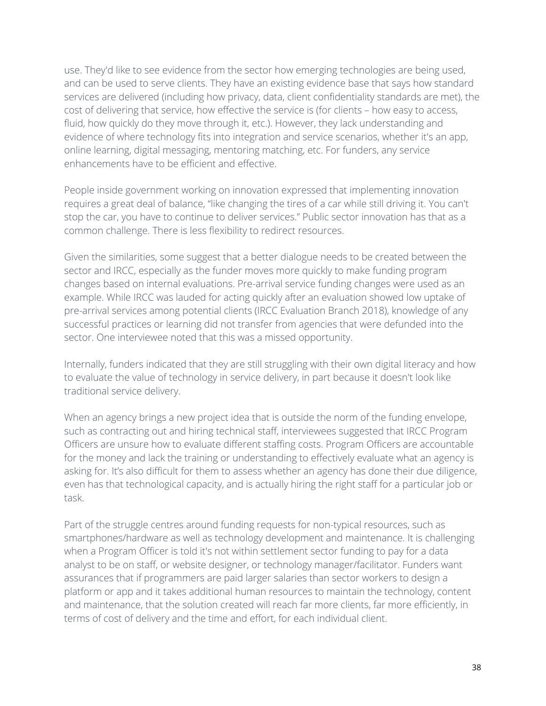use. They'd like to see evidence from the sector how emerging technologies are being used, and can be used to serve clients. They have an existing evidence base that says how standard services are delivered (including how privacy, data, client confidentiality standards are met), the cost of delivering that service, how effective the service is (for clients – how easy to access, fluid, how quickly do they move through it, etc.). However, they lack understanding and evidence of where technology fits into integration and service scenarios, whether it's an app, online learning, digital messaging, mentoring matching, etc. For funders, any service enhancements have to be efficient and effective.

People inside government working on innovation expressed that implementing innovation requires a great deal of balance, "like changing the tires of a car while still driving it. You can't stop the car, you have to continue to deliver services." Public sector innovation has that as a common challenge. There is less flexibility to redirect resources.

Given the similarities, some suggest that a better dialogue needs to be created between the sector and IRCC, especially as the funder moves more quickly to make funding program changes based on internal evaluations. Pre-arrival service funding changes were used as an example. While IRCC was lauded for acting quickly after an evaluation showed low uptake of pre-arrival services among potential clients (IRCC Evaluation Branch 2018), knowledge of any successful practices or learning did not transfer from agencies that were defunded into the sector. One interviewee noted that this was a missed opportunity.

Internally, funders indicated that they are still struggling with their own digital literacy and how to evaluate the value of technology in service delivery, in part because it doesn't look like traditional service delivery.

When an agency brings a new project idea that is outside the norm of the funding envelope, such as contracting out and hiring technical staff, interviewees suggested that IRCC Program Officers are unsure how to evaluate different staffing costs. Program Officers are accountable for the money and lack the training or understanding to effectively evaluate what an agency is asking for. It's also difficult for them to assess whether an agency has done their due diligence, even has that technological capacity, and is actually hiring the right staff for a particular job or task.

Part of the struggle centres around funding requests for non-typical resources, such as smartphones/hardware as well as technology development and maintenance. It is challenging when a Program Officer is told it's not within settlement sector funding to pay for a data analyst to be on staff, or website designer, or technology manager/facilitator. Funders want assurances that if programmers are paid larger salaries than sector workers to design a platform or app and it takes additional human resources to maintain the technology, content and maintenance, that the solution created will reach far more clients, far more efficiently, in terms of cost of delivery and the time and effort, for each individual client.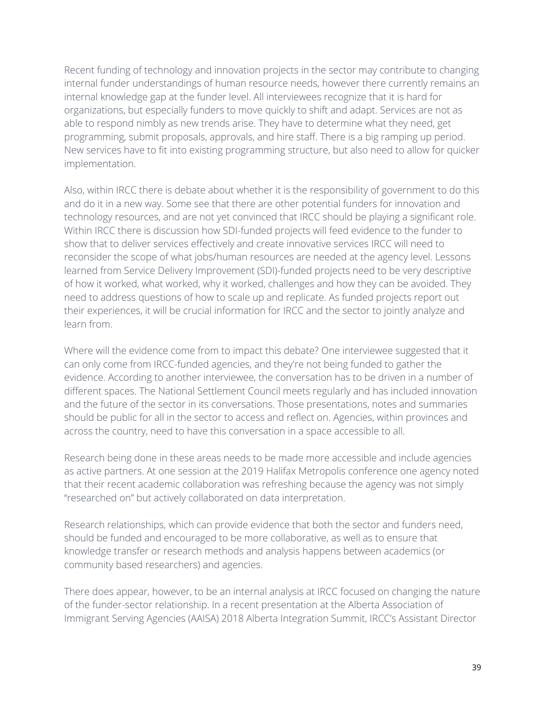Recent funding of technology and innovation projects in the sector may contribute to changing internal funder understandings of human resource needs, however there currently remains an internal knowledge gap at the funder level. All interviewees recognize that it is hard for organizations, but especially funders to move quickly to shift and adapt. Services are not as able to respond nimbly as new trends arise. They have to determine what they need, get programming, submit proposals, approvals, and hire staff. There is a big ramping up period. New services have to fit into existing programming structure, but also need to allow for quicker implementation.

Also, within IRCC there is debate about whether it is the responsibility of government to do this and do it in a new way. Some see that there are other potential funders for innovation and technology resources, and are not yet convinced that IRCC should be playing a significant role. Within IRCC there is discussion how SDI-funded projects will feed evidence to the funder to show that to deliver services effectively and create innovative services IRCC will need to reconsider the scope of what jobs/human resources are needed at the agency level. Lessons learned from Service Delivery Improvement (SDI)-funded projects need to be very descriptive of how it worked, what worked, why it worked, challenges and how they can be avoided. They need to address questions of how to scale up and replicate. As funded projects report out their experiences, it will be crucial information for IRCC and the sector to jointly analyze and learn from.

Where will the evidence come from to impact this debate? One interviewee suggested that it can only come from IRCC-funded agencies, and they're not being funded to gather the evidence. According to another interviewee, the conversation has to be driven in a number of different spaces. The National Settlement Council meets regularly and has included innovation and the future of the sector in its conversations. Those presentations, notes and summaries should be public for all in the sector to access and reflect on. Agencies, within provinces and across the country, need to have this conversation in a space accessible to all.

Research being done in these areas needs to be made more accessible and include agencies as active partners. At one session at the 2019 Halifax Metropolis conference one agency noted that their recent academic collaboration was refreshing because the agency was not simply "researched on" but actively collaborated on data interpretation.

Research relationships, which can provide evidence that both the sector and funders need, should be funded and encouraged to be more collaborative, as well as to ensure that knowledge transfer or research methods and analysis happens between academics (or community based researchers) and agencies.

There does appear, however, to be an internal analysis at IRCC focused on changing the nature of the funder-sector relationship. In a recent presentation at the Alberta Association of Immigrant Serving Agencies (AAISA) 2018 Alberta Integration Summit, IRCC's Assistant Director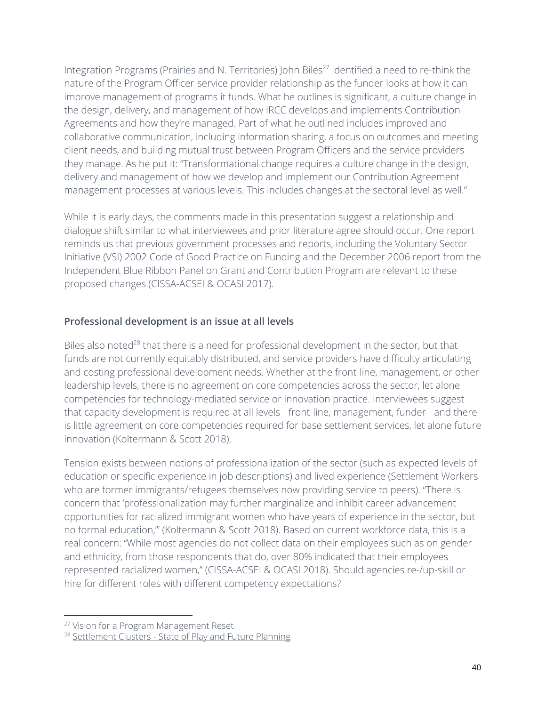Integration Programs (Prairies and N. Territories) John Biles<sup>27</sup> identified a need to re-think the nature of the Program Officer-service provider relationship as the funder looks at how it can improve management of programs it funds. What he outlines is significant, a culture change in the design, delivery, and management of how IRCC develops and implements Contribution Agreements and how they're managed. Part of what he outlined includes improved and collaborative communication, including information sharing, a focus on outcomes and meeting client needs, and building mutual trust between Program Officers and the service providers they manage. As he put it: "Transformational change requires a culture change in the design, delivery and management of how we develop and implement our Contribution Agreement management processes at various levels. This includes changes at the sectoral level as well."

While it is early days, the comments made in this presentation suggest a relationship and dialogue shift similar to what interviewees and prior literature agree should occur. One report reminds us that previous government processes and reports, including the Voluntary Sector Initiative (VSI) 2002 Code of Good Practice on Funding and the December 2006 report from the Independent Blue Ribbon Panel on Grant and Contribution Program are relevant to these proposed changes (CISSA-ACSEI & OCASI 2017).

### <span id="page-39-0"></span>**Professional development is an issue at all levels**

Biles also noted $^{28}$  that there is a need for professional development in the sector, but that funds are not currently equitably distributed, and service providers have difficulty articulating and costing professional development needs. Whether at the front-line, management, or other leadership levels, there is no agreement on core competencies across the sector, let alone competencies for technology-mediated service or innovation practice. Interviewees suggest that capacity development is required at all levels - front-line, management, funder - and there is little agreement on core competencies required for base settlement services, let alone future innovation (Koltermann & Scott 2018).

Tension exists between notions of professionalization of the sector (such as expected levels of education or specific experience in job descriptions) and lived experience (Settlement Workers who are former immigrants/refugees themselves now providing service to peers). "There is concern that 'professionalization may further marginalize and inhibit career advancement opportunities for racialized immigrant women who have years of experience in the sector, but no formal education,'" (Koltermann & Scott 2018). Based on current workforce data, this is a real concern: "While most agencies do not collect data on their employees such as on gender and ethnicity, from those respondents that do, over 80% indicated that their employees represented racialized women," (CISSA-ACSEI & OCASI 2018). Should agencies re-/up-skill or hire for different roles with different competency expectations?

<sup>&</sup>lt;sup>27</sup> Vision for a Program [Management](http://aaisa.ca/docs/AASIASummit2018/D2/D2E12_EN_Summits%20-%20Vision%20for%20Program%20Management%20Reset%20-%20Fall%202018.pptx) Reset

<sup>28</sup> [Settlement](http://aaisa.ca/docs/AASIASummit2018/D2/D2E3_Plenary%205%20-%20PNT%20Cluster%20Update%20September%202018%20-%20FINAL%20EN.pptx) Clusters - State of Play and Future Planning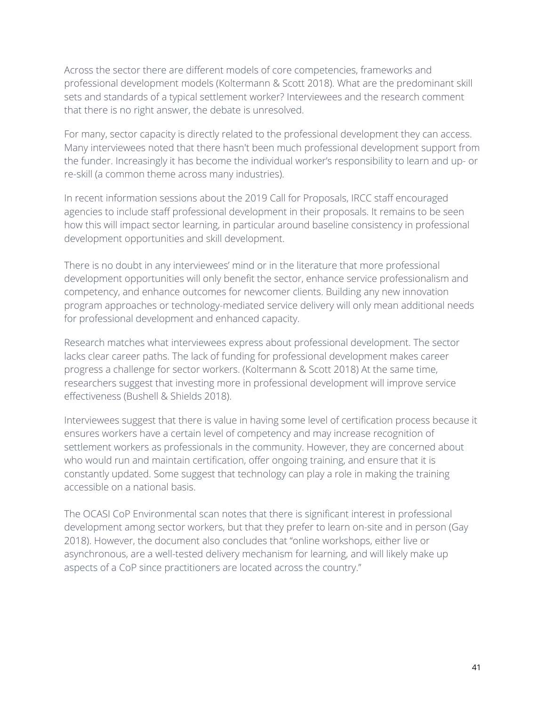Across the sector there are different models of core competencies, frameworks and professional development models (Koltermann & Scott 2018). What are the predominant skill sets and standards of a typical settlement worker? Interviewees and the research comment that there is no right answer, the debate is unresolved.

For many, sector capacity is directly related to the professional development they can access. Many interviewees noted that there hasn't been much professional development support from the funder. Increasingly it has become the individual worker's responsibility to learn and up- or re-skill (a common theme across many industries).

In recent information sessions about the 2019 Call for Proposals, IRCC staff encouraged agencies to include staff professional development in their proposals. It remains to be seen how this will impact sector learning, in particular around baseline consistency in professional development opportunities and skill development.

There is no doubt in any interviewees' mind or in the literature that more professional development opportunities will only benefit the sector, enhance service professionalism and competency, and enhance outcomes for newcomer clients. Building any new innovation program approaches or technology-mediated service delivery will only mean additional needs for professional development and enhanced capacity.

Research matches what interviewees express about professional development. The sector lacks clear career paths. The lack of funding for professional development makes career progress a challenge for sector workers. (Koltermann & Scott 2018) At the same time, researchers suggest that investing more in professional development will improve service effectiveness (Bushell & Shields 2018).

Interviewees suggest that there is value in having some level of certification process because it ensures workers have a certain level of competency and may increase recognition of settlement workers as professionals in the community. However, they are concerned about who would run and maintain certification, offer ongoing training, and ensure that it is constantly updated. Some suggest that technology can play a role in making the training accessible on a national basis.

The OCASI CoP Environmental scan notes that there is significant interest in professional development among sector workers, but that they prefer to learn on-site and in person (Gay 2018). However, the document also concludes that "online workshops, either live or asynchronous, are a well-tested delivery mechanism for learning, and will likely make up aspects of a CoP since practitioners are located across the country."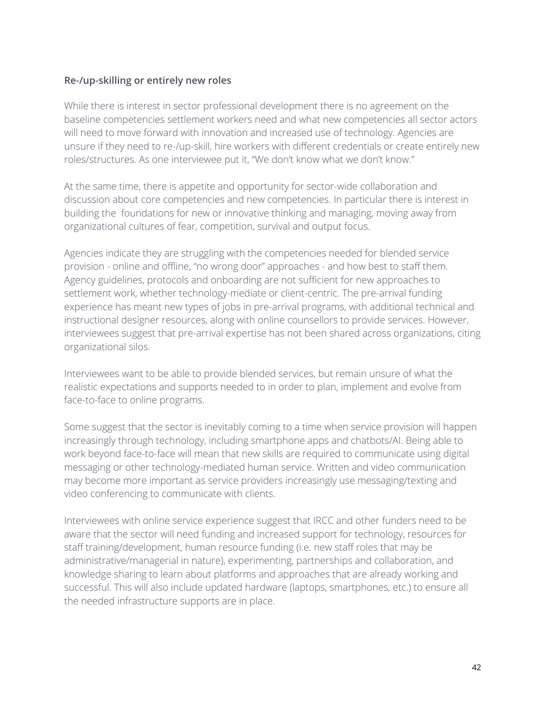### <span id="page-41-0"></span>**Re-/up-skilling or entirely new roles**

While there is interest in sector professional development there is no agreement on the baseline competencies settlement workers need and what new competencies all sector actors will need to move forward with innovation and increased use of technology. Agencies are unsure if they need to re-/up-skill, hire workers with different credentials or create entirely new roles/structures. As one interviewee put it, "We don't know what we don't know."

At the same time, there is appetite and opportunity for sector-wide collaboration and discussion about core competencies and new competencies. In particular there is interest in building the foundations for new or innovative thinking and managing, moving away from organizational cultures of fear, competition, survival and output focus.

Agencies indicate they are struggling with the competencies needed for blended service provision - online and offline, "no wrong door" approaches - and how best to staff them. Agency guidelines, protocols and onboarding are not sufficient for new approaches to settlement work, whether technology-mediate or client-centric. The pre-arrival funding experience has meant new types of jobs in pre-arrival programs, with additional technical and instructional designer resources, along with online counsellors to provide services. However, interviewees suggest that pre-arrival expertise has not been shared across organizations, citing organizational silos.

Interviewees want to be able to provide blended services, but remain unsure of what the realistic expectations and supports needed to in order to plan, implement and evolve from face-to-face to online programs.

Some suggest that the sector is inevitably coming to a time when service provision will happen increasingly through technology, including smartphone apps and chatbots/AI. Being able to work beyond face-to-face will mean that new skills are required to communicate using digital messaging or other technology-mediated human service. Written and video communication may become more important as service providers increasingly use messaging/texting and video conferencing to communicate with clients.

Interviewees with online service experience suggest that IRCC and other funders need to be aware that the sector will need funding and increased support for technology, resources for staff training/development, human resource funding (i.e. new staff roles that may be administrative/managerial in nature), experimenting, partnerships and collaboration, and knowledge sharing to learn about platforms and approaches that are already working and successful. This will also include updated hardware (laptops, smartphones, etc.) to ensure all the needed infrastructure supports are in place.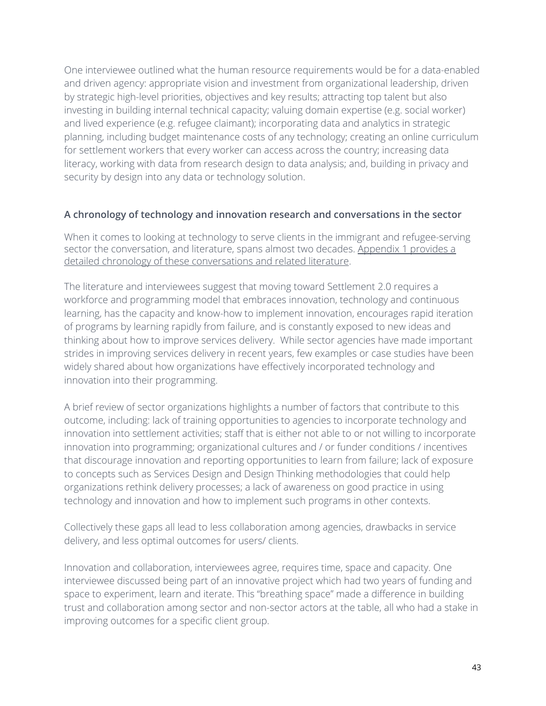One interviewee outlined what the human resource requirements would be for a data-enabled and driven agency: appropriate vision and investment from organizational leadership, driven by strategic high-level priorities, objectives and key results; attracting top talent but also investing in building internal technical capacity; valuing domain expertise (e.g. social worker) and lived experience (e.g. refugee claimant); incorporating data and analytics in strategic planning, including budget maintenance costs of any technology; creating an online curriculum for settlement workers that every worker can access across the country; increasing data literacy, working with data from research design to data analysis; and, building in privacy and security by design into any data or technology solution.

### <span id="page-42-0"></span>**A chronology of technology and innovation research and conversations in the sector**

When it comes to looking at technology to serve clients in the immigrant and refugee-serving sector the conversation, and literature, spans almost two decades. Appendix 1 provides a detailed chronology of these conversations and related literature.

The literature and interviewees suggest that moving toward Settlement 2.0 requires a workforce and programming model that embraces innovation, technology and continuous learning, has the capacity and know-how to implement innovation, encourages rapid iteration of programs by learning rapidly from failure, and is constantly exposed to new ideas and thinking about how to improve services delivery. While sector agencies have made important strides in improving services delivery in recent years, few examples or case studies have been widely shared about how organizations have effectively incorporated technology and innovation into their programming.

A brief review of sector organizations highlights a number of factors that contribute to this outcome, including: lack of training opportunities to agencies to incorporate technology and innovation into settlement activities; staff that is either not able to or not willing to incorporate innovation into programming; organizational cultures and / or funder conditions / incentives that discourage innovation and reporting opportunities to learn from failure; lack of exposure to concepts such as Services Design and Design Thinking methodologies that could help organizations rethink delivery processes; a lack of awareness on good practice in using technology and innovation and how to implement such programs in other contexts.

Collectively these gaps all lead to less collaboration among agencies, drawbacks in service delivery, and less optimal outcomes for users/ clients.

Innovation and collaboration, interviewees agree, requires time, space and capacity. One interviewee discussed being part of an innovative project which had two years of funding and space to experiment, learn and iterate. This "breathing space" made a difference in building trust and collaboration among sector and non-sector actors at the table, all who had a stake in improving outcomes for a specific client group.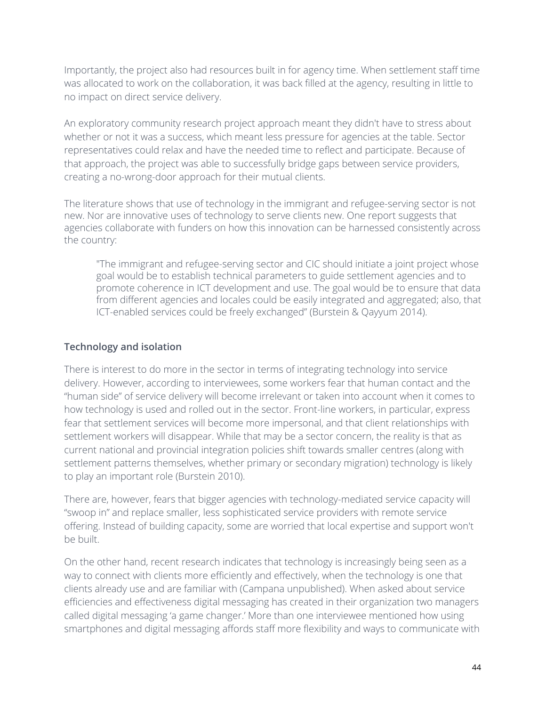Importantly, the project also had resources built in for agency time. When settlement staff time was allocated to work on the collaboration, it was back filled at the agency, resulting in little to no impact on direct service delivery.

An exploratory community research project approach meant they didn't have to stress about whether or not it was a success, which meant less pressure for agencies at the table. Sector representatives could relax and have the needed time to reflect and participate. Because of that approach, the project was able to successfully bridge gaps between service providers, creating a no-wrong-door approach for their mutual clients.

The literature shows that use of technology in the immigrant and refugee-serving sector is not new. Nor are innovative uses of technology to serve clients new. One report suggests that agencies collaborate with funders on how this innovation can be harnessed consistently across the country:

"The immigrant and refugee-serving sector and CIC should initiate a joint project whose goal would be to establish technical parameters to guide settlement agencies and to promote coherence in ICT development and use. The goal would be to ensure that data from different agencies and locales could be easily integrated and aggregated; also, that ICT-enabled services could be freely exchanged" (Burstein & Qayyum 2014).

### <span id="page-43-0"></span>**Technology and isolation**

There is interest to do more in the sector in terms of integrating technology into service delivery. However, according to interviewees, some workers fear that human contact and the "human side" of service delivery will become irrelevant or taken into account when it comes to how technology is used and rolled out in the sector. Front-line workers, in particular, express fear that settlement services will become more impersonal, and that client relationships with settlement workers will disappear. While that may be a sector concern, the reality is that as current national and provincial integration policies shift towards smaller centres (along with settlement patterns themselves, whether primary or secondary migration) technology is likely to play an important role (Burstein 2010).

There are, however, fears that bigger agencies with technology-mediated service capacity will "swoop in" and replace smaller, less sophisticated service providers with remote service offering. Instead of building capacity, some are worried that local expertise and support won't be built.

On the other hand, recent research indicates that technology is increasingly being seen as a way to connect with clients more efficiently and effectively, when the technology is one that clients already use and are familiar with (Campana unpublished). When asked about service efficiencies and effectiveness digital messaging has created in their organization two managers called digital messaging 'a game changer.' More than one interviewee mentioned how using smartphones and digital messaging affords staff more flexibility and ways to communicate with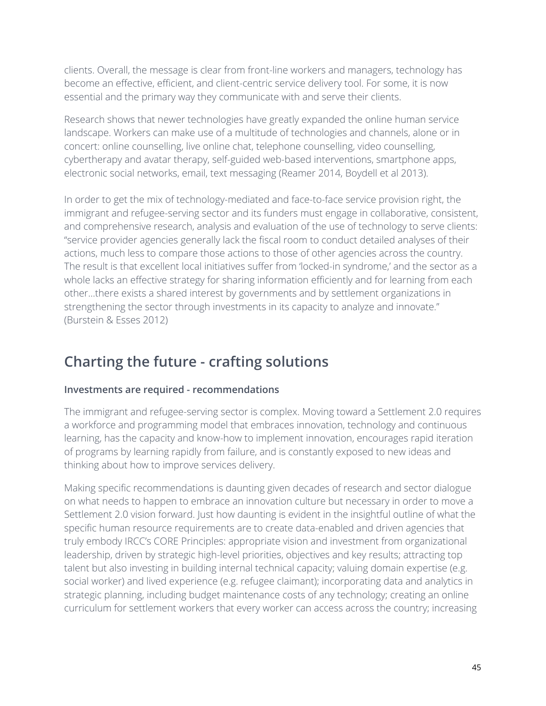clients. Overall, the message is clear from front-line workers and managers, technology has become an effective, efficient, and client-centric service delivery tool. For some, it is now essential and the primary way they communicate with and serve their clients.

Research shows that newer technologies have greatly expanded the online human service landscape. Workers can make use of a multitude of technologies and channels, alone or in concert: online counselling, live online chat, telephone counselling, video counselling, cybertherapy and avatar therapy, self-guided web-based interventions, smartphone apps, electronic social networks, email, text messaging (Reamer 2014, Boydell et al 2013).

In order to get the mix of technology-mediated and face-to-face service provision right, the immigrant and refugee-serving sector and its funders must engage in collaborative, consistent, and comprehensive research, analysis and evaluation of the use of technology to serve clients: "service provider agencies generally lack the fiscal room to conduct detailed analyses of their actions, much less to compare those actions to those of other agencies across the country. The result is that excellent local initiatives suffer from 'locked-in syndrome,' and the sector as a whole lacks an effective strategy for sharing information efficiently and for learning from each other…there exists a shared interest by governments and by settlement organizations in strengthening the sector through investments in its capacity to analyze and innovate." (Burstein & Esses 2012)

# <span id="page-44-0"></span>**Charting the future - crafting solutions**

### <span id="page-44-1"></span>**Investments are required - recommendations**

The immigrant and refugee-serving sector is complex. Moving toward a Settlement 2.0 requires a workforce and programming model that embraces innovation, technology and continuous learning, has the capacity and know-how to implement innovation, encourages rapid iteration of programs by learning rapidly from failure, and is constantly exposed to new ideas and thinking about how to improve services delivery.

Making specific recommendations is daunting given decades of research and sector dialogue on what needs to happen to embrace an innovation culture but necessary in order to move a Settlement 2.0 vision forward. Just how daunting is evident in the insightful outline of what the specific human resource requirements are to create data-enabled and driven agencies that truly embody IRCC's CORE Principles: appropriate vision and investment from organizational leadership, driven by strategic high-level priorities, objectives and key results; attracting top talent but also investing in building internal technical capacity; valuing domain expertise (e.g. social worker) and lived experience (e.g. refugee claimant); incorporating data and analytics in strategic planning, including budget maintenance costs of any technology; creating an online curriculum for settlement workers that every worker can access across the country; increasing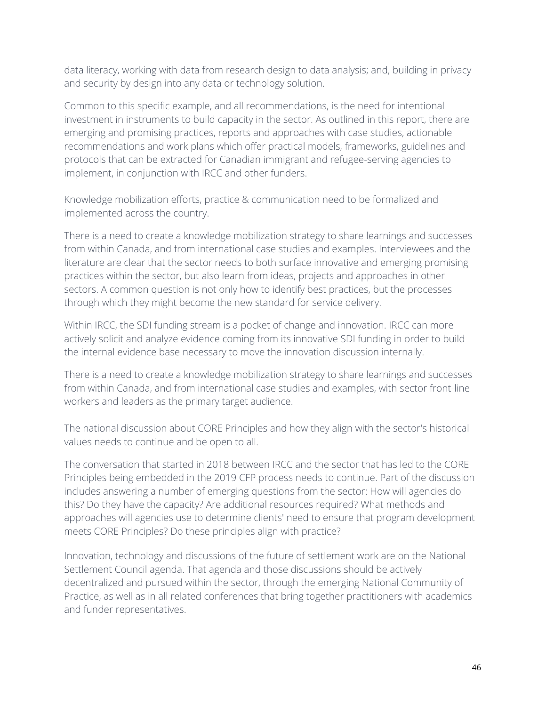data literacy, working with data from research design to data analysis; and, building in privacy and security by design into any data or technology solution.

Common to this specific example, and all recommendations, is the need for intentional investment in instruments to build capacity in the sector. As outlined in this report, there are emerging and promising practices, reports and approaches with case studies, actionable recommendations and work plans which offer practical models, frameworks, guidelines and protocols that can be extracted for Canadian immigrant and refugee-serving agencies to implement, in conjunction with IRCC and other funders.

Knowledge mobilization efforts, practice & communication need to be formalized and implemented across the country.

There is a need to create a knowledge mobilization strategy to share learnings and successes from within Canada, and from international case studies and examples. Interviewees and the literature are clear that the sector needs to both surface innovative and emerging promising practices within the sector, but also learn from ideas, projects and approaches in other sectors. A common question is not only how to identify best practices, but the processes through which they might become the new standard for service delivery.

Within IRCC, the SDI funding stream is a pocket of change and innovation. IRCC can more actively solicit and analyze evidence coming from its innovative SDI funding in order to build the internal evidence base necessary to move the innovation discussion internally.

There is a need to create a knowledge mobilization strategy to share learnings and successes from within Canada, and from international case studies and examples, with sector front-line workers and leaders as the primary target audience.

The national discussion about CORE Principles and how they align with the sector's historical values needs to continue and be open to all.

The conversation that started in 2018 between IRCC and the sector that has led to the CORE Principles being embedded in the 2019 CFP process needs to continue. Part of the discussion includes answering a number of emerging questions from the sector: How will agencies do this? Do they have the capacity? Are additional resources required? What methods and approaches will agencies use to determine clients' need to ensure that program development meets CORE Principles? Do these principles align with practice?

Innovation, technology and discussions of the future of settlement work are on the National Settlement Council agenda. That agenda and those discussions should be actively decentralized and pursued within the sector, through the emerging National Community of Practice, as well as in all related conferences that bring together practitioners with academics and funder representatives.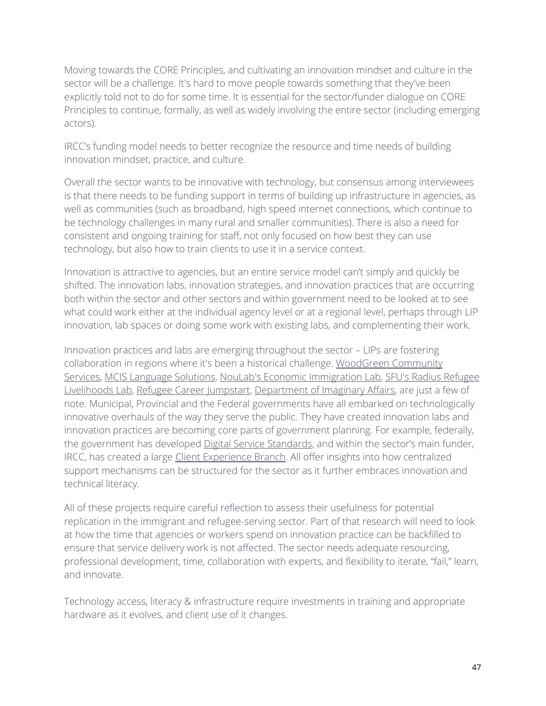Moving towards the CORE Principles, and cultivating an innovation mindset and culture in the sector will be a challenge. It's hard to move people towards something that they've been explicitly told not to do for some time. It is essential for the sector/funder dialogue on CORE Principles to continue, formally, as well as widely involving the entire sector (including emerging actors).

IRCC's funding model needs to better recognize the resource and time needs of building innovation mindset, practice, and culture.

Overall the sector wants to be innovative with technology, but consensus among interviewees is that there needs to be funding support in terms of building up infrastructure in agencies, as well as communities (such as broadband, high speed internet connections, which continue to be technology challenges in many rural and smaller communities). There is also a need for consistent and ongoing training for staff, not only focused on how best they can use technology, but also how to train clients to use it in a service context.

Innovation is attractive to agencies, but an entire service model can't simply and quickly be shifted. The innovation labs, innovation strategies, and innovation practices that are occurring both within the sector and other sectors and within government need to be looked at to see what could work either at the individual agency level or at a regional level, perhaps through LIP innovation, lab spaces or doing some work with existing labs, and complementing their work.

Innovation practices and labs are emerging throughout the sector – LIPs are fostering collaboration in regions where it's been a historical challenge. [WoodGreen](http://www.woodgreenannualreport.org/2017-18/stories/agent-of-change/) Community [Services](http://www.woodgreenannualreport.org/2017-18/stories/agent-of-change/), [M](https://www.mcislanguages.com/social-impact/)CIS [Language](https://www.mcislanguages.com/social-impact/) Solutions, [N](https://noulab.org/immigration)ouLab's Economic [Immigration](https://noulab.org/immigration) Lab, SFU's Radius [Refugee](https://radiussfu.com/programs/labs-ventures/refugee-newcomer-livelihood/) [Livelihoods](https://radiussfu.com/programs/labs-ventures/refugee-newcomer-livelihood/) Lab, Refugee Career [Jumpstart](http://www.rcjp.ca/), [Department](https://dia.space/projects/the-stories-of-us/) of Imaginary Affairs, are just a few of note. Municipal, Provincial and the Federal governments have all embarked on technologically innovative overhauls of the way they serve the public. They have created innovation labs and innovation practices are becoming core parts of government planning. For example, federally, the government has developed [D](https://www.canada.ca/en/government/publicservice/modernizing/government-canada-digital-standards.html)igital Service [Standards](https://www.canada.ca/en/government/publicservice/modernizing/government-canada-digital-standards.html), and within the sector's main funder, IRCC, has created a large Client [Experience](http://www.goc411.ca/en/Employees/IndexByUnit/c=CA,o=GC,ou=IRCC-IRCC,ou=NHQ-AC,ou=DMO-DMO,ou=AOB-AOB,ou=CLI-DIR) Branch. All offer insights into how centralized support mechanisms can be structured for the sector as it further embraces innovation and technical literacy.

All of these projects require careful reflection to assess their usefulness for potential replication in the immigrant and refugee-serving sector. Part of that research will need to look at how the time that agencies or workers spend on innovation practice can be backfilled to ensure that service delivery work is not affected. The sector needs adequate resourcing, professional development, time, collaboration with experts, and flexibility to iterate, "fail," learn, and innovate.

Technology access, literacy & infrastructure require investments in training and appropriate hardware as it evolves, and client use of it changes.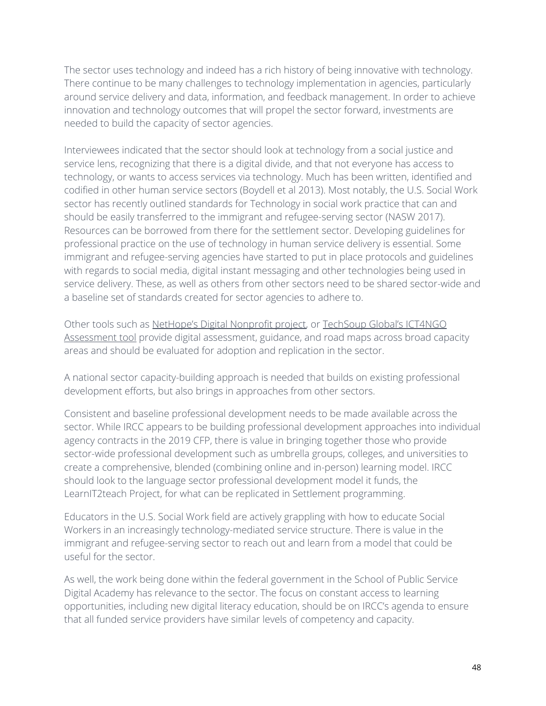The sector uses technology and indeed has a rich history of being innovative with technology. There continue to be many challenges to technology implementation in agencies, particularly around service delivery and data, information, and feedback management. In order to achieve innovation and technology outcomes that will propel the sector forward, investments are needed to build the capacity of sector agencies.

Interviewees indicated that the sector should look at technology from a social justice and service lens, recognizing that there is a digital divide, and that not everyone has access to technology, or wants to access services via technology. Much has been written, identified and codified in other human service sectors (Boydell et al 2013). Most notably, the U.S. Social Work sector has recently outlined standards for Technology in social work practice that can and should be easily transferred to the immigrant and refugee-serving sector (NASW 2017). Resources can be borrowed from there for the settlement sector. Developing guidelines for professional practice on the use of technology in human service delivery is essential. Some immigrant and refugee-serving agencies have started to put in place protocols and guidelines with regards to social media, digital instant messaging and other technologies being used in service delivery. These, as well as others from other sectors need to be shared sector-wide and a baseline set of standards created for sector agencies to adhere to.

Other tools such as [NetHope's](https://solutionscenter.nethope.org/digital-nonprofit) Digital Nonprofit project, or [TechSoup](https://blog.techsoup.org/posts/building-a-cloud-first-future-for-ngos-around-the-world) Global's ICT4NGO [Assessment](https://blog.techsoup.org/posts/building-a-cloud-first-future-for-ngos-around-the-world) tool provide digital assessment, guidance, and road maps across broad capacity areas and should be evaluated for adoption and replication in the sector.

A national sector capacity-building approach is needed that builds on existing professional development efforts, but also brings in approaches from other sectors.

Consistent and baseline professional development needs to be made available across the sector. While IRCC appears to be building professional development approaches into individual agency contracts in the 2019 CFP, there is value in bringing together those who provide sector-wide professional development such as umbrella groups, colleges, and universities to create a comprehensive, blended (combining online and in-person) learning model. IRCC should look to the language sector professional development model it funds, the LearnIT2teach Project, for what can be replicated in Settlement programming.

Educators in the U.S. Social Work field are actively grappling with how to educate Social Workers in an increasingly technology-mediated service structure. There is value in the immigrant and refugee-serving sector to reach out and learn from a model that could be useful for the sector.

As well, the work being done within the federal government in the School of Public Service Digital Academy has relevance to the sector. The focus on constant access to learning opportunities, including new digital literacy education, should be on IRCC's agenda to ensure that all funded service providers have similar levels of competency and capacity.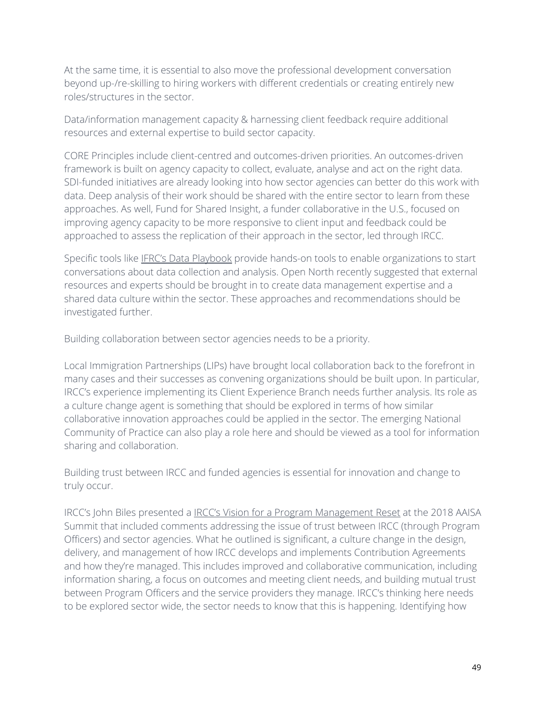At the same time, it is essential to also move the professional development conversation beyond up-/re-skilling to hiring workers with different credentials or creating entirely new roles/structures in the sector.

Data/information management capacity & harnessing client feedback require additional resources and external expertise to build sector capacity.

CORE Principles include client-centred and outcomes-driven priorities. An outcomes-driven framework is built on agency capacity to collect, evaluate, analyse and act on the right data. SDI-funded initiatives are already looking into how sector agencies can better do this work with data. Deep analysis of their work should be shared with the entire sector to learn from these approaches. As well, Fund for Shared Insight, a funder collaborative in the U.S., focused on improving agency capacity to be more responsive to client input and feedback could be approached to assess the replication of their approach in the sector, led through IRCC.

Specific tools like IFRC's Data [Playbook](https://media.ifrc.org/ifrc/2019/01/08/co-creating-ifrcs-data-playbook-online-discussion-notes/) provide hands-on tools to enable organizations to start conversations about data collection and analysis. Open North recently suggested that external resources and experts should be brought in to create data management expertise and a shared data culture within the sector. These approaches and recommendations should be investigated further.

Building collaboration between sector agencies needs to be a priority.

Local Immigration Partnerships (LIPs) have brought local collaboration back to the forefront in many cases and their successes as convening organizations should be built upon. In particular, IRCC's experience implementing its Client Experience Branch needs further analysis. Its role as a culture change agent is something that should be explored in terms of how similar collaborative innovation approaches could be applied in the sector. The emerging National Community of Practice can also play a role here and should be viewed as a tool for information sharing and collaboration.

Building trust between IRCC and funded agencies is essential for innovation and change to truly occur.

IRCC's John Biles presented a **IRCC's Vision for a Program [Management](http://aaisa.ca/docs/AASIASummit2018/D2/D2E12_EN_Summits%20-%20Vision%20for%20Program%20Management%20Reset%20-%20Fall%202018.pptx) Reset** at the 2018 AAISA Summit that included comments addressing the issue of trust between IRCC (through Program Officers) and sector agencies. What he outlined is significant, a culture change in the design, delivery, and management of how IRCC develops and implements Contribution Agreements and how they're managed. This includes improved and collaborative communication, including information sharing, a focus on outcomes and meeting client needs, and building mutual trust between Program Officers and the service providers they manage. IRCC's thinking here needs to be explored sector wide, the sector needs to know that this is happening. Identifying how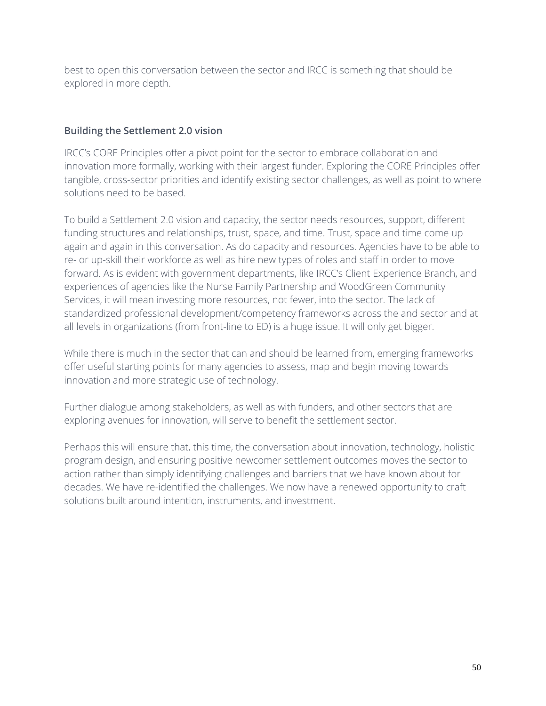best to open this conversation between the sector and IRCC is something that should be explored in more depth.

### <span id="page-49-0"></span>**Building the Settlement 2.0 vision**

IRCC's CORE Principles offer a pivot point for the sector to embrace collaboration and innovation more formally, working with their largest funder. Exploring the CORE Principles offer tangible, cross-sector priorities and identify existing sector challenges, as well as point to where solutions need to be based.

To build a Settlement 2.0 vision and capacity, the sector needs resources, support, different funding structures and relationships, trust, space, and time. Trust, space and time come up again and again in this conversation. As do capacity and resources. Agencies have to be able to re- or up-skill their workforce as well as hire new types of roles and staff in order to move forward. As is evident with government departments, like IRCC's Client Experience Branch, and experiences of agencies like the Nurse Family Partnership and WoodGreen Community Services, it will mean investing more resources, not fewer, into the sector. The lack of standardized professional development/competency frameworks across the and sector and at all levels in organizations (from front-line to ED) is a huge issue. It will only get bigger.

While there is much in the sector that can and should be learned from, emerging frameworks offer useful starting points for many agencies to assess, map and begin moving towards innovation and more strategic use of technology.

Further dialogue among stakeholders, as well as with funders, and other sectors that are exploring avenues for innovation, will serve to benefit the settlement sector.

Perhaps this will ensure that, this time, the conversation about innovation, technology, holistic program design, and ensuring positive newcomer settlement outcomes moves the sector to action rather than simply identifying challenges and barriers that we have known about for decades. We have re-identified the challenges. We now have a renewed opportunity to craft solutions built around intention, instruments, and investment.